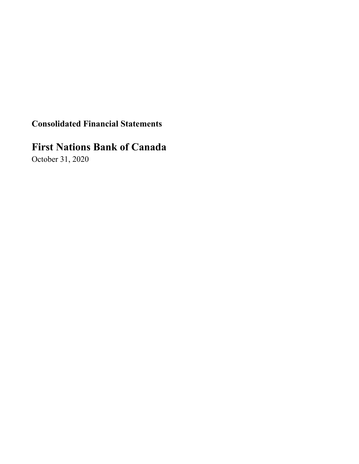# **Consolidated Financial Statements**

# **First Nations Bank of Canada**

October 31, 2020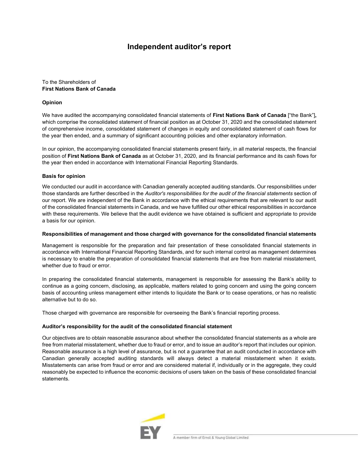# Independent auditor's report

#### To the Shareholders of First Nations Bank of Canada

#### Opinion

We have audited the accompanying consolidated financial statements of First Nations Bank of Canada ["the Bank"], which comprise the consolidated statement of financial position as at October 31, 2020 and the consolidated statement of comprehensive income, consolidated statement of changes in equity and consolidated statement of cash flows for the year then ended, and a summary of significant accounting policies and other explanatory information.

In our opinion, the accompanying consolidated financial statements present fairly, in all material respects, the financial position of First Nations Bank of Canada as at October 31, 2020, and its financial performance and its cash flows for the year then ended in accordance with International Financial Reporting Standards.

#### Basis for opinion

We conducted our audit in accordance with Canadian generally accepted auditing standards. Our responsibilities under those standards are further described in the Auditor's responsibilities for the audit of the financial statements section of our report. We are independent of the Bank in accordance with the ethical requirements that are relevant to our audit of the consolidated financial statements in Canada, and we have fulfilled our other ethical responsibilities in accordance with these requirements. We believe that the audit evidence we have obtained is sufficient and appropriate to provide a basis for our opinion.

#### Responsibilities of management and those charged with governance for the consolidated financial statements

Management is responsible for the preparation and fair presentation of these consolidated financial statements in accordance with International Financial Reporting Standards, and for such internal control as management determines is necessary to enable the preparation of consolidated financial statements that are free from material misstatement, whether due to fraud or error.

In preparing the consolidated financial statements, management is responsible for assessing the Bank's ability to continue as a going concern, disclosing, as applicable, matters related to going concern and using the going concern basis of accounting unless management either intends to liquidate the Bank or to cease operations, or has no realistic alternative but to do so.

Those charged with governance are responsible for overseeing the Bank's financial reporting process.

#### Auditor's responsibility for the audit of the consolidated financial statement

Our objectives are to obtain reasonable assurance about whether the consolidated financial statements as a whole are free from material misstatement, whether due to fraud or error, and to issue an auditor's report that includes our opinion. Reasonable assurance is a high level of assurance, but is not a guarantee that an audit conducted in accordance with Canadian generally accepted auditing standards will always detect a material misstatement when it exists. Misstatements can arise from fraud or error and are considered material if, individually or in the aggregate, they could reasonably be expected to influence the economic decisions of users taken on the basis of these consolidated financial statements.

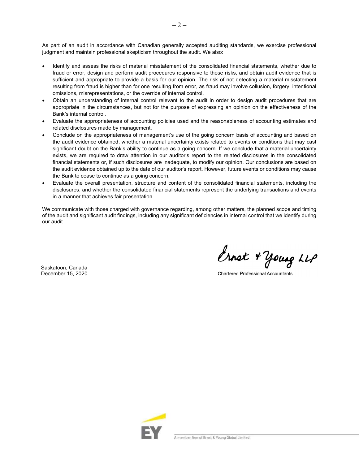As part of an audit in accordance with Canadian generally accepted auditing standards, we exercise professional judgment and maintain professional skepticism throughout the audit. We also:

- Identify and assess the risks of material misstatement of the consolidated financial statements, whether due to fraud or error, design and perform audit procedures responsive to those risks, and obtain audit evidence that is sufficient and appropriate to provide a basis for our opinion. The risk of not detecting a material misstatement resulting from fraud is higher than for one resulting from error, as fraud may involve collusion, forgery, intentional omissions, misrepresentations, or the override of internal control.
- Obtain an understanding of internal control relevant to the audit in order to design audit procedures that are appropriate in the circumstances, but not for the purpose of expressing an opinion on the effectiveness of the Bank's internal control.
- Evaluate the appropriateness of accounting policies used and the reasonableness of accounting estimates and related disclosures made by management.
- Conclude on the appropriateness of management's use of the going concern basis of accounting and based on the audit evidence obtained, whether a material uncertainty exists related to events or conditions that may cast significant doubt on the Bank's ability to continue as a going concern. If we conclude that a material uncertainty exists, we are required to draw attention in our auditor's report to the related disclosures in the consolidated financial statements or, if such disclosures are inadequate, to modify our opinion. Our conclusions are based on the audit evidence obtained up to the date of our auditor's report. However, future events or conditions may cause the Bank to cease to continue as a going concern.
- Evaluate the overall presentation, structure and content of the consolidated financial statements, including the disclosures, and whether the consolidated financial statements represent the underlying transactions and events in a manner that achieves fair presentation.

We communicate with those charged with governance regarding, among other matters, the planned scope and timing of the audit and significant audit findings, including any significant deficiencies in internal control that we identify during our audit.

Saskatoon, Canada December 15, 2020

Ernet + Young LLP

**Chartered Professional Accountants** 

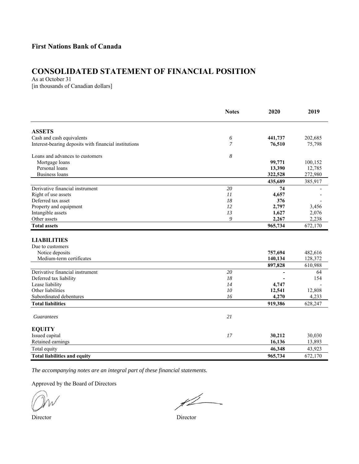# **CONSOLIDATED STATEMENT OF FINANCIAL POSITION**

As at October 31

[in thousands of Canadian dollars]

|                                                       | <b>Notes</b> | 2020    | 2019    |
|-------------------------------------------------------|--------------|---------|---------|
| <b>ASSETS</b>                                         |              |         |         |
| Cash and cash equivalents                             | 6            | 441,737 | 202,685 |
| Interest-bearing deposits with financial institutions | 7            | 76,510  | 75,798  |
| Loans and advances to customers                       | 8            |         |         |
| Mortgage loans                                        |              | 99,771  | 100,152 |
| Personal loans                                        |              | 13,390  | 12,785  |
| <b>Business loans</b>                                 |              | 322,528 | 272,980 |
|                                                       |              | 435,689 | 385,917 |
| Derivative financial instrument                       | 20           | 74      |         |
| Right of use assets                                   | II           | 4,657   |         |
| Deferred tax asset                                    | 18           | 376     |         |
| Property and equipment                                | 12           | 2,797   | 3,456   |
| Intangible assets                                     | 13           | 1,627   | 2,076   |
| Other assets                                          | 9            | 2,267   | 2,238   |
| <b>Total assets</b>                                   |              | 965,734 | 672,170 |
| <b>LIABILITIES</b><br>Due to customers                |              |         |         |
| Notice deposits                                       |              | 757,694 | 482,616 |
| Medium-term certificates                              |              | 140,134 | 128,372 |
|                                                       |              | 897,828 | 610,988 |
| Derivative financial instrument                       | 20           |         | 64      |
| Deferred tax liability                                | 18           |         | 154     |
| Lease liability                                       | 14           | 4,747   |         |
| Other liabilities                                     | 10           | 12,541  | 12,808  |
| Subordinated debentures                               | 16           | 4,270   | 4,233   |
| <b>Total liabilities</b>                              |              | 919,386 | 628,247 |
| <i>Guarantees</i>                                     | 21           |         |         |
| <b>EQUITY</b>                                         |              |         |         |
| Issued capital                                        | 17           | 30,212  | 30,030  |
| Retained earnings                                     |              | 16,136  | 13,893  |
| Total equity                                          |              | 46,348  | 43,923  |
| <b>Total liabilities and equity</b>                   |              | 965,734 | 672,170 |

*The accompanying notes are an integral part of these financial statements.*

Approved by the Board of Directors

Director **Director** 

 $H$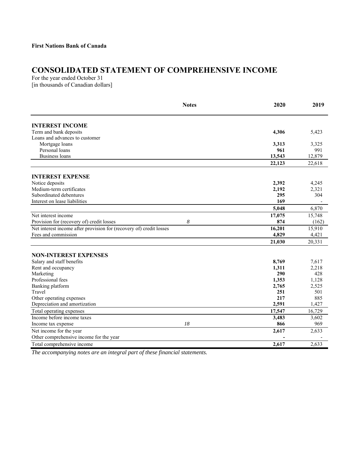# **CONSOLIDATED STATEMENT OF COMPREHENSIVE INCOME**

For the year ended October 31 [in thousands of Canadian dollars]

|                                                                     | <b>Notes</b> | 2020   | 2019                     |
|---------------------------------------------------------------------|--------------|--------|--------------------------|
| <b>INTEREST INCOME</b>                                              |              |        |                          |
| Term and bank deposits                                              |              | 4,306  | 5,423                    |
| Loans and advances to customer                                      |              |        |                          |
| Mortgage loans                                                      |              | 3,313  | 3,325                    |
| Personal loans                                                      |              | 961    | 991                      |
| <b>Business loans</b>                                               |              | 13,543 | 12,879                   |
|                                                                     |              | 22,123 | 22,618                   |
| <b>INTEREST EXPENSE</b>                                             |              |        |                          |
| Notice deposits                                                     |              | 2,392  | 4,245                    |
| Medium-term certificates                                            |              | 2,192  | 2,321                    |
| Subordinated debentures                                             |              | 295    | 304                      |
| Interest on lease liabilities                                       |              | 169    | $\overline{\phantom{a}}$ |
|                                                                     |              | 5,048  | 6,870                    |
| Net interest income                                                 |              | 17,075 | 15,748                   |
| Provision for (recovery of) credit losses                           | 8            | 874    | (162)                    |
| Net interest income after provision for (recovery of) credit losses |              | 16,201 | 15,910                   |
| Fees and commission                                                 |              | 4,829  | 4,421                    |
|                                                                     |              | 21,030 | 20,331                   |
| <b>NON-INTEREST EXPENSES</b>                                        |              |        |                          |
| Salary and staff benefits                                           |              | 8,769  | 7,617                    |
| Rent and occupancy                                                  |              | 1,311  | 2,218                    |
| Marketing                                                           |              | 290    | 428                      |
| Professional fees                                                   |              | 1,353  | 1,128                    |
| Banking platform                                                    |              | 2,765  | 2,525                    |
| Travel                                                              |              | 251    | 501                      |
| Other operating expenses                                            |              | 217    | 885                      |
| Depreciation and amortization                                       |              | 2,591  | 1,427                    |
| Total operating expenses                                            |              | 17,547 | 16,729                   |
| Income before income taxes                                          |              | 3,483  | 3,602                    |
| Income tax expense                                                  | 18           | 866    | 969                      |
| Net income for the year                                             |              | 2,617  | 2,633                    |
| Other comprehensive income for the year                             |              |        |                          |
| Total comprehensive income                                          |              | 2,617  | 2,633                    |

*The accompanying notes are an integral part of these financial statements.*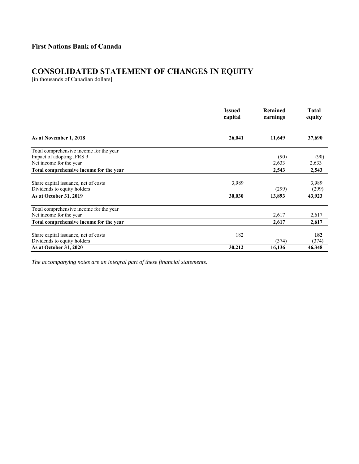# **CONSOLIDATED STATEMENT OF CHANGES IN EQUITY**

[in thousands of Canadian dollars]

|                                                                                                 | <b>Issued</b><br>capital | <b>Retained</b><br>earnings | <b>Total</b><br>equity |
|-------------------------------------------------------------------------------------------------|--------------------------|-----------------------------|------------------------|
| As at November 1, 2018                                                                          | 26,041                   | 11,649                      | 37,690                 |
| Total comprehensive income for the year<br>Impact of adopting IFRS 9<br>Net income for the year |                          | (90)<br>2,633               | (90)<br>2,633          |
| Total comprehensive income for the year                                                         |                          | 2,543                       | 2,543                  |
| Share capital issuance, net of costs<br>Dividends to equity holders                             | 3,989                    | (299)                       | 3,989<br>(299)         |
| As at October 31, 2019                                                                          | 30,030                   | 13,893                      | 43,923                 |
| Total comprehensive income for the year<br>Net income for the year                              |                          | 2,617                       | 2,617                  |
| Total comprehensive income for the year                                                         |                          | 2,617                       | 2,617                  |
| Share capital issuance, net of costs<br>Dividends to equity holders                             | 182                      | (374)                       | 182<br>(374)           |
| As at October 31, 2020                                                                          | 30,212                   | 16,136                      | 46,348                 |

*The accompanying notes are an integral part of these financial statements.*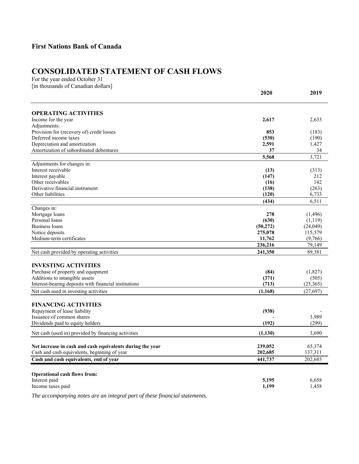# **CONSOLIDATED STATEMENT OF CASH FLOWS**

For the year ended October 31 [in thousands of Canadian dollars]

|                                                           | 2020      | 2019      |
|-----------------------------------------------------------|-----------|-----------|
| <b>OPERATING ACTIVITIES</b>                               |           |           |
| Income for the year                                       | 2,617     | 2,633     |
| Adjustments:                                              |           |           |
| Provision for (recovery of) credit losses                 | 853       | (183)     |
| Deferred income taxes                                     | (530)     | (190)     |
| Depreciation and amortization                             | 2,591     | 1,427     |
| Amortization of subordinated debentures                   | 37        | 34        |
|                                                           | 5,568     | 3,721     |
| Adjustments for changes in:                               |           |           |
| Interest receivable                                       | (13)      | (313)     |
| Interest payable                                          | (147)     | 212       |
| Other receivables                                         | (16)      | 142       |
| Derivative financial instrument                           | (138)     | (263)     |
| Other liabilities                                         | (120)     | 6,733     |
|                                                           | (434)     | 6,511     |
| Changes in:                                               |           |           |
| Mortgage loans                                            | 278       | (1, 496)  |
| Personal loans                                            | (630)     | (1, 119)  |
| Business loans                                            | (50, 272) | (24, 049) |
| Notice deposits                                           | 275,078   | 115,579   |
| Medium-term certificates                                  | 11,762    | (9,766)   |
|                                                           | 236,216   | 79.149    |
| Net cash provided by operating activities                 | 241,350   | 89,381    |
| <b>INVESTING ACTIVITIES</b>                               |           |           |
| Purchase of property and equipment                        | (84)      | (1,827)   |
| Additions to intangible assets                            | (371)     | (505)     |
| Interest-bearing deposits with financial institutions     | (713)     | (25,365)  |
| Net cash used in investing activities                     | (1, 168)  | (27, 697) |
|                                                           |           |           |
| <b>FINANCING ACTIVITIES</b>                               |           |           |
| Repayment of lease liability<br>Issuance of common shares | (938)     | 3,989     |
| Dividends paid to equity holders                          | (192)     | (299)     |
|                                                           |           |           |
| Net cash (used in) provided by financing activities       | (1,130)   | 3,690     |
| Net increase in cash and cash equivalents during the year | 239,052   | 65,374    |
| Cash and cash equivalents, beginning of year              | 202,685   | 137,311   |
| Cash and cash equivalents, end of year                    | 441,737   | 202,685   |
|                                                           |           |           |
| <b>Operational cash flows from:</b>                       |           |           |
| Interest paid                                             | 5,195     | 6,658     |
| Income taxes paid                                         | 1,199     | 1,458     |
|                                                           |           |           |

*The accompanying notes are an integral part of these financial statements.*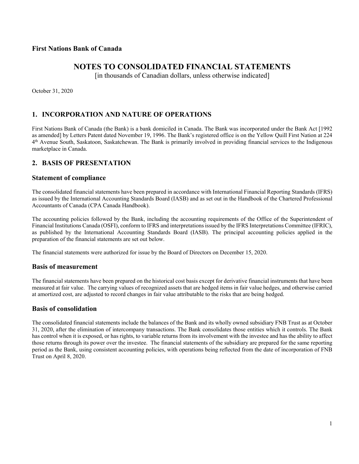[in thousands of Canadian dollars, unless otherwise indicated]

October 31, 2020

### **1. INCORPORATION AND NATURE OF OPERATIONS**

First Nations Bank of Canada (the Bank) is a bank domiciled in Canada. The Bank was incorporated under the Bank Act [1992 as amended] by Letters Patent dated November 19, 1996. The Bank's registered office is on the Yellow Quill First Nation at 224 4th Avenue South, Saskatoon, Saskatchewan. The Bank is primarily involved in providing financial services to the Indigenous marketplace in Canada.

## **2. BASIS OF PRESENTATION**

### **Statement of compliance**

The consolidated financial statements have been prepared in accordance with International Financial Reporting Standards (IFRS) as issued by the International Accounting Standards Board (IASB) and as set out in the Handbook of the Chartered Professional Accountants of Canada (CPA Canada Handbook).

The accounting policies followed by the Bank, including the accounting requirements of the Office of the Superintendent of Financial Institutions Canada (OSFI), conform to IFRS and interpretations issued by the IFRS Interpretations Committee (IFRIC), as published by the International Accounting Standards Board (IASB). The principal accounting policies applied in the preparation of the financial statements are set out below.

The financial statements were authorized for issue by the Board of Directors on December 15, 2020.

### **Basis of measurement**

The financial statements have been prepared on the historical cost basis except for derivative financial instruments that have been measured at fair value. The carrying values of recognized assets that are hedged items in fair value hedges, and otherwise carried at amortized cost, are adjusted to record changes in fair value attributable to the risks that are being hedged.

### **Basis of consolidation**

The consolidated financial statements include the balances of the Bank and its wholly owned subsidiary FNB Trust as at October 31, 2020, after the elimination of intercompany transactions. The Bank consolidates those entities which it controls. The Bank has control when it is exposed, or has rights, to variable returns from its involvement with the investee and has the ability to affect those returns through its power over the investee. The financial statements of the subsidiary are prepared for the same reporting period as the Bank, using consistent accounting policies, with operations being reflected from the date of incorporation of FNB Trust on April 8, 2020.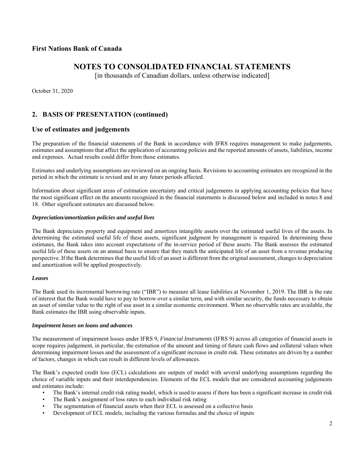## **NOTES TO CONSOLIDATED FINANCIAL STATEMENTS**

[in thousands of Canadian dollars, unless otherwise indicated]

October 31, 2020

### **2. BASIS OF PRESENTATION (continued)**

#### **Use of estimates and judgements**

The preparation of the financial statements of the Bank in accordance with IFRS requires management to make judgements, estimates and assumptions that affect the application of accounting policies and the reported amounts of assets, liabilities, income and expenses. Actual results could differ from those estimates.

Estimates and underlying assumptions are reviewed on an ongoing basis. Revisions to accounting estimates are recognized in the period in which the estimate is revised and in any future periods affected.

Information about significant areas of estimation uncertainty and critical judgements in applying accounting policies that have the most significant effect on the amounts recognized in the financial statements is discussed below and included in notes 8 and 18. Other significant estimates are discussed below.

#### *Depreciation/amortization policies and useful lives*

The Bank depreciates property and equipment and amortizes intangible assets over the estimated useful lives of the assets. In determining the estimated useful life of these assets, significant judgment by management is required. In determining these estimates, the Bank takes into account expectations of the in-service period of these assets. The Bank assesses the estimated useful life of these assets on an annual basis to ensure that they match the anticipated life of an asset from a revenue producing perspective. If the Bank determines that the useful life of an asset is different from the original assessment, changes to depreciation and amortization will be applied prospectively.

#### *Leases*

The Bank used its incremental borrowing rate ("IBR") to measure all lease liabilities at November 1, 2019. The IBR is the rate of interest that the Bank would have to pay to borrow over a similar term, and with similar security, the funds necessary to obtain an asset of similar value to the right of use asset in a similar economic environment. When no observable rates are available, the Bank estimates the IBR using observable inputs.

#### *Impairment losses on loans and advances*

The measurement of impairment losses under IFRS 9, *Financial Instruments* (IFRS 9) across all categories of financial assets in scope requires judgement, in particular, the estimation of the amount and timing of future cash flows and collateral values when determining impairment losses and the assessment of a significant increase in credit risk. These estimates are driven by a number of factors, changes in which can result in different levels of allowances.

The Bank's expected credit loss (ECL) calculations are outputs of model with several underlying assumptions regarding the choice of variable inputs and their interdependencies. Elements of the ECL models that are considered accounting judgements and estimates include:

- The Bank's internal credit risk rating model, which is used to assess if there has been a significant increase in credit risk
- The Bank's assignment of loss rates to each individual risk rating
- The segmentation of financial assets when their ECL is assessed on a collective basis
- Development of ECL models, including the various formulas and the choice of inputs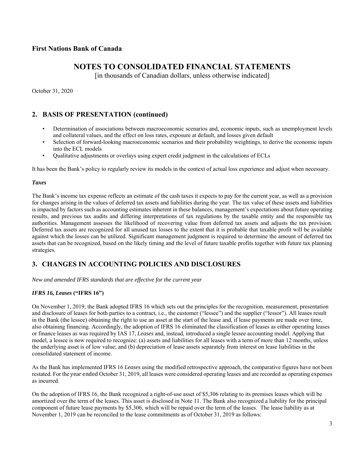[in thousands of Canadian dollars, unless otherwise indicated]

October 31, 2020

## **2. BASIS OF PRESENTATION (continued)**

- Determination of associations between macroeconomic scenarios and, economic inputs, such as unemployment levels and collateral values, and the effect on loss rates, exposure at default, and losses given default
- Selection of forward-looking macroeconomic scenarios and their probability weightings, to derive the economic inputs into the ECL models
- Qualitative adjustments or overlays using expert credit judgment in the calculations of ECLs

It has been the Bank's policy to regularly review its models in the context of actual loss experience and adjust when necessary.

#### *Taxes*

The Bank's income tax expense reflects an estimate of the cash taxes it expects to pay for the current year, as well as a provision for changes arising in the values of deferred tax assets and liabilities during the year. The tax value of these assets and liabilities is impacted by factors such as accounting estimates inherent in these balances, management's expectations about future operating results, and previous tax audits and differing interpretations of tax regulations by the taxable entity and the responsible tax authorities. Management assesses the likelihood of recovering value from deferred tax assets and adjusts the tax provision. Deferred tax assets are recognized for all unused tax losses to the extent that it is probable that taxable profit will be available against which the losses can be utilized. Significant management judgment is required to determine the amount of deferred tax assets that can be recognized, based on the likely timing and the level of future taxable profits together with future tax planning strategies.

### **3. CHANGES IN ACCOUNTING POLICIES AND DISCLOSURES**

*New and amended IFRS standards that are effective for the current year* 

### *IFRS 16, Leases* **("IFRS 16")**

On November 1, 2019, the Bank adopted IFRS 16 which sets out the principles for the recognition, measurement, presentation and disclosure of leases for both parties to a contract, i.e., the customer ("lessee") and the supplier ("lessor"). All leases result in the Bank (the lessee) obtaining the right to use an asset at the start of the lease and, if lease payments are made over time, also obtaining financing. Accordingly, the adoption of IFRS 16 eliminated the classification of leases as either operating leases or finance leases as was required by IAS 17, *Leases* and, instead, introduced a single lessee accounting model. Applying that model, a lessee is now required to recognize: (a) assets and liabilities for all leases with a term of more than 12 months, unless the underlying asset is of low value; and (b) depreciation of lease assets separately from interest on lease liabilities in the consolidated statement of income.

As the Bank has implemented IFRS 16 *Leases* using the modified retrospective approach, the comparative figures have not been restated. For the year ended October 31, 2019, all leases were considered operating leases and are recorded as operating expenses as incurred.

On the adoption of IFRS 16, the Bank recognized a right-of-use asset of \$5,306 relating to its premises leases which will be amortized over the term of the leases. This asset is disclosed in Note 11. The Bank also recognized a liability for the principal component of future lease payments by \$5,306, which will be repaid over the term of the leases. The lease liability as at November 1, 2019 can be reconciled to the lease commitments as of October 31, 2019 as follows: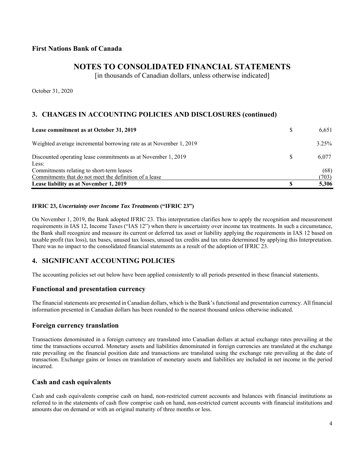# **NOTES TO CONSOLIDATED FINANCIAL STATEMENTS**

[in thousands of Canadian dollars, unless otherwise indicated]

October 31, 2020

## **3. CHANGES IN ACCOUNTING POLICIES AND DISCLOSURES (continued)**

| Lease commitment as at October 31, 2019                                                             |   | 6,651         |
|-----------------------------------------------------------------------------------------------------|---|---------------|
| Weighted average incremental borrowing rate as at November 1, 2019                                  |   | 3.25%         |
| Discounted operating lease commitments as at November 1, 2019<br>Less:                              | S | 6,077         |
| Commitments relating to short-term leases<br>Commitments that do not meet the definition of a lease |   | (68)<br>(703) |
| Lease liability as at November 1, 2019                                                              |   | 5,306         |

#### **IFRIC 23,** *Uncertainty over Income Tax Treatments* **("IFRIC 23")**

On November 1, 2019, the Bank adopted IFRIC 23. This interpretation clarifies how to apply the recognition and measurement requirements in IAS 12, Income Taxes ("IAS 12") when there is uncertainty over income tax treatments. In such a circumstance, the Bank shall recognize and measure its current or deferred tax asset or liability applying the requirements in IAS 12 based on taxable profit (tax loss), tax bases, unused tax losses, unused tax credits and tax rates determined by applying this Interpretation. There was no impact to the consolidated financial statements as a result of the adoption of IFRIC 23.

### **4. SIGNIFICANT ACCOUNTING POLICIES**

The accounting policies set out below have been applied consistently to all periods presented in these financial statements.

### **Functional and presentation currency**

The financial statements are presented in Canadian dollars, which is the Bank's functional and presentation currency. All financial information presented in Canadian dollars has been rounded to the nearest thousand unless otherwise indicated.

### **Foreign currency translation**

Transactions denominated in a foreign currency are translated into Canadian dollars at actual exchange rates prevailing at the time the transactions occurred. Monetary assets and liabilities denominated in foreign currencies are translated at the exchange rate prevailing on the financial position date and transactions are translated using the exchange rate prevailing at the date of transaction. Exchange gains or losses on translation of monetary assets and liabilities are included in net income in the period incurred.

### **Cash and cash equivalents**

Cash and cash equivalents comprise cash on hand, non-restricted current accounts and balances with financial institutions as referred to in the statements of cash flow comprise cash on hand, non-restricted current accounts with financial institutions and amounts due on demand or with an original maturity of three months or less.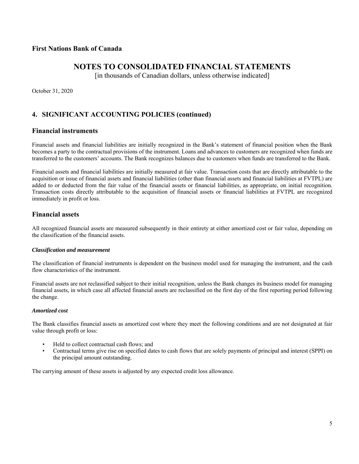## **NOTES TO CONSOLIDATED FINANCIAL STATEMENTS**

[in thousands of Canadian dollars, unless otherwise indicated]

October 31, 2020

## **4. SIGNIFICANT ACCOUNTING POLICIES (continued)**

#### **Financial instruments**

Financial assets and financial liabilities are initially recognized in the Bank's statement of financial position when the Bank becomes a party to the contractual provisions of the instrument. Loans and advances to customers are recognized when funds are transferred to the customers' accounts. The Bank recognizes balances due to customers when funds are transferred to the Bank.

Financial assets and financial liabilities are initially measured at fair value. Transaction costs that are directly attributable to the acquisition or issue of financial assets and financial liabilities (other than financial assets and financial liabilities at FVTPL) are added to or deducted from the fair value of the financial assets or financial liabilities, as appropriate, on initial recognition. Transaction costs directly attributable to the acquisition of financial assets or financial liabilities at FVTPL are recognized immediately in profit or loss.

#### **Financial assets**

All recognized financial assets are measured subsequently in their entirety at either amortized cost or fair value, depending on the classification of the financial assets.

#### *Classification and measurement*

The classification of financial instruments is dependent on the business model used for managing the instrument, and the cash flow characteristics of the instrument.

Financial assets are not reclassified subject to their initial recognition, unless the Bank changes its business model for managing financial assets, in which case all affected financial assets are reclassified on the first day of the first reporting period following the change.

#### *Amortized cost*

The Bank classifies financial assets as amortized cost where they meet the following conditions and are not designated at fair value through profit or loss:

- Held to collect contractual cash flows; and
- Contractual terms give rise on specified dates to cash flows that are solely payments of principal and interest (SPPI) on the principal amount outstanding.

The carrying amount of these assets is adjusted by any expected credit loss allowance.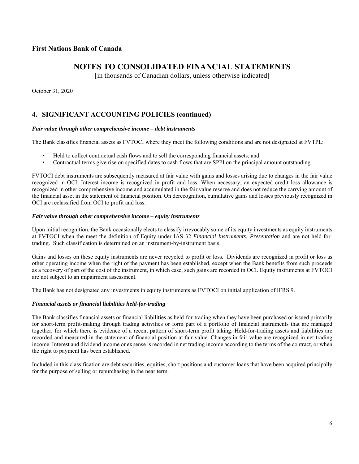# **NOTES TO CONSOLIDATED FINANCIAL STATEMENTS**

[in thousands of Canadian dollars, unless otherwise indicated]

October 31, 2020

### **4. SIGNIFICANT ACCOUNTING POLICIES (continued)**

#### *Fair value through other comprehensive income – debt instruments*

The Bank classifies financial assets as FVTOCI where they meet the following conditions and are not designated at FVTPL:

- Held to collect contractual cash flows and to sell the corresponding financial assets; and
- Contractual terms give rise on specified dates to cash flows that are SPPI on the principal amount outstanding.

FVTOCI debt instruments are subsequently measured at fair value with gains and losses arising due to changes in the fair value recognized in OCI. Interest income is recognized in profit and loss. When necessary, an expected credit loss allowance is recognized in other comprehensive income and accumulated in the fair value reserve and does not reduce the carrying amount of the financial asset in the statement of financial position. On derecognition, cumulative gains and losses previously recognized in OCI are reclassified from OCI to profit and loss.

#### *Fair value through other comprehensive income – equity instruments*

Upon initial recognition, the Bank occasionally elects to classify irrevocably some of its equity investments as equity instruments at FVTOCI when the meet the definition of Equity under IAS 32 *Financial Instruments: Presentation* and are not held-fortrading. Such classification is determined on an instrument-by-instrument basis.

Gains and losses on these equity instruments are never recycled to profit or loss. Dividends are recognized in profit or loss as other operating income when the right of the payment has been established, except when the Bank benefits from such proceeds as a recovery of part of the cost of the instrument, in which case, such gains are recorded in OCI. Equity instruments at FVTOCI are not subject to an impairment assessment.

The Bank has not designated any investments in equity instruments as FVTOCI on initial application of IFRS 9.

#### *Financial assets or financial liabilities held-for-trading*

The Bank classifies financial assets or financial liabilities as held-for-trading when they have been purchased or issued primarily for short-term profit-making through trading activities or form part of a portfolio of financial instruments that are managed together, for which there is evidence of a recent pattern of short-term profit taking. Held-for-trading assets and liabilities are recorded and measured in the statement of financial position at fair value. Changes in fair value are recognized in net trading income. Interest and dividend income or expense is recorded in net trading income according to the terms of the contract, or when the right to payment has been established.

Included in this classification are debt securities, equities, short positions and customer loans that have been acquired principally for the purpose of selling or repurchasing in the near term.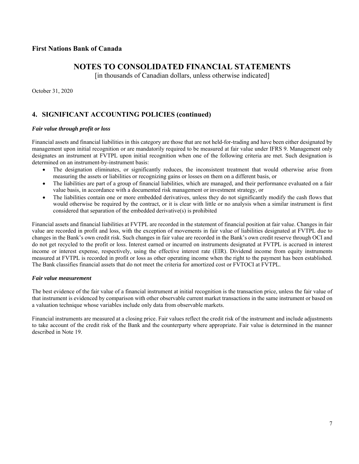[in thousands of Canadian dollars, unless otherwise indicated]

October 31, 2020

## **4. SIGNIFICANT ACCOUNTING POLICIES (continued)**

#### *Fair value through profit or loss*

Financial assets and financial liabilities in this category are those that are not held-for-trading and have been either designated by management upon initial recognition or are mandatorily required to be measured at fair value under IFRS 9. Management only designates an instrument at FVTPL upon initial recognition when one of the following criteria are met. Such designation is determined on an instrument-by-instrument basis:

- The designation eliminates, or significantly reduces, the inconsistent treatment that would otherwise arise from measuring the assets or liabilities or recognizing gains or losses on them on a different basis, or
- The liabilities are part of a group of financial liabilities, which are managed, and their performance evaluated on a fair value basis, in accordance with a documented risk management or investment strategy, or
- The liabilities contain one or more embedded derivatives, unless they do not significantly modify the cash flows that would otherwise be required by the contract, or it is clear with little or no analysis when a similar instrument is first considered that separation of the embedded derivative(s) is prohibited

Financial assets and financial liabilities at FVTPL are recorded in the statement of financial position at fair value. Changes in fair value are recorded in profit and loss, with the exception of movements in fair value of liabilities designated at FVTPL due to changes in the Bank's own credit risk. Such changes in fair value are recorded in the Bank's own credit reserve through OCI and do not get recycled to the profit or loss. Interest earned or incurred on instruments designated at FVTPL is accrued in interest income or interest expense, respectively, using the effective interest rate (EIR). Dividend income from equity instruments measured at FVTPL is recorded in profit or loss as other operating income when the right to the payment has been established. The Bank classifies financial assets that do not meet the criteria for amortized cost or FVTOCI at FVTPL.

#### *Fair value measurement*

The best evidence of the fair value of a financial instrument at initial recognition is the transaction price, unless the fair value of that instrument is evidenced by comparison with other observable current market transactions in the same instrument or based on a valuation technique whose variables include only data from observable markets.

Financial instruments are measured at a closing price. Fair values reflect the credit risk of the instrument and include adjustments to take account of the credit risk of the Bank and the counterparty where appropriate. Fair value is determined in the manner described in Note 19.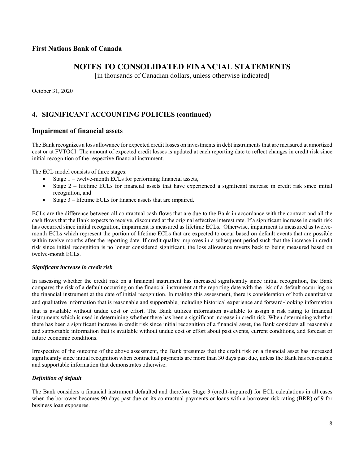[in thousands of Canadian dollars, unless otherwise indicated]

October 31, 2020

## **4. SIGNIFICANT ACCOUNTING POLICIES (continued)**

### **Impairment of financial assets**

The Bank recognizes a loss allowance for expected credit losses on investments in debt instruments that are measured at amortized cost or at FVTOCI. The amount of expected credit losses is updated at each reporting date to reflect changes in credit risk since initial recognition of the respective financial instrument.

The ECL model consists of three stages:

- Stage 1 twelve-month ECLs for performing financial assets,
- Stage 2 lifetime ECLs for financial assets that have experienced a significant increase in credit risk since initial recognition, and
- Stage 3 lifetime ECLs for finance assets that are impaired.

ECLs are the difference between all contractual cash flows that are due to the Bank in accordance with the contract and all the cash flows that the Bank expects to receive, discounted at the original effective interest rate. If a significant increase in credit risk has occurred since initial recognition, impairment is measured as lifetime ECLs. Otherwise, impairment is measured as twelvemonth ECLs which represent the portion of lifetime ECLs that are expected to occur based on default events that are possible within twelve months after the reporting date. If credit quality improves in a subsequent period such that the increase in credit risk since initial recognition is no longer considered significant, the loss allowance reverts back to being measured based on twelve-month ECLs.

#### *Significant increase in credit risk*

In assessing whether the credit risk on a financial instrument has increased significantly since initial recognition, the Bank compares the risk of a default occurring on the financial instrument at the reporting date with the risk of a default occurring on the financial instrument at the date of initial recognition. In making this assessment, there is consideration of both quantitative and qualitative information that is reasonable and supportable, including historical experience and forward-looking information that is available without undue cost or effort. The Bank utilizes information available to assign a risk rating to financial instruments which is used in determining whether there has been a significant increase in credit risk. When determining whether there has been a significant increase in credit risk since initial recognition of a financial asset, the Bank considers all reasonable and supportable information that is available without undue cost or effort about past events, current conditions, and forecast or future economic conditions.

Irrespective of the outcome of the above assessment, the Bank presumes that the credit risk on a financial asset has increased significantly since initial recognition when contractual payments are more than 30 days past due, unless the Bank has reasonable and supportable information that demonstrates otherwise.

#### *Definition of default*

The Bank considers a financial instrument defaulted and therefore Stage 3 (credit-impaired) for ECL calculations in all cases when the borrower becomes 90 days past due on its contractual payments or loans with a borrower risk rating (BRR) of 9 for business loan exposures.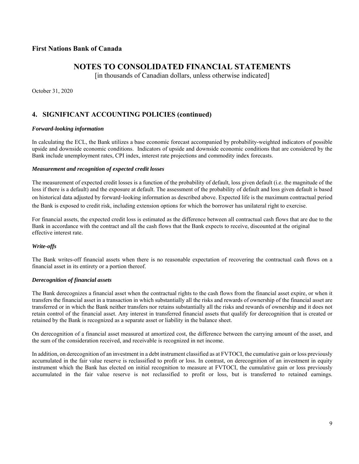## **NOTES TO CONSOLIDATED FINANCIAL STATEMENTS**

[in thousands of Canadian dollars, unless otherwise indicated]

October 31, 2020

### **4. SIGNIFICANT ACCOUNTING POLICIES (continued)**

#### *Forward-looking information*

In calculating the ECL, the Bank utilizes a base economic forecast accompanied by probability-weighted indicators of possible upside and downside economic conditions. Indicators of upside and downside economic conditions that are considered by the Bank include unemployment rates, CPI index, interest rate projections and commodity index forecasts.

#### *Measurement and recognition of expected credit losses*

The measurement of expected credit losses is a function of the probability of default, loss given default (i.e. the magnitude of the loss if there is a default) and the exposure at default. The assessment of the probability of default and loss given default is based on historical data adjusted by forward-looking information as described above. Expected life is the maximum contractual period the Bank is exposed to credit risk, including extension options for which the borrower has unilateral right to exercise.

For financial assets, the expected credit loss is estimated as the difference between all contractual cash flows that are due to the Bank in accordance with the contract and all the cash flows that the Bank expects to receive, discounted at the original effective interest rate.

#### *Write-offs*

The Bank writes-off financial assets when there is no reasonable expectation of recovering the contractual cash flows on a financial asset in its entirety or a portion thereof.

#### *Derecognition of financial assets*

The Bank derecognizes a financial asset when the contractual rights to the cash flows from the financial asset expire, or when it transfers the financial asset in a transaction in which substantially all the risks and rewards of ownership of the financial asset are transferred or in which the Bank neither transfers nor retains substantially all the risks and rewards of ownership and it does not retain control of the financial asset. Any interest in transferred financial assets that qualify for derecognition that is created or retained by the Bank is recognized as a separate asset or liability in the balance sheet.

On derecognition of a financial asset measured at amortized cost, the difference between the carrying amount of the asset, and the sum of the consideration received, and receivable is recognized in net income.

In addition, on derecognition of an investment in a debt instrument classified as at FVTOCI, the cumulative gain or loss previously accumulated in the fair value reserve is reclassified to profit or loss. In contrast, on derecognition of an investment in equity instrument which the Bank has elected on initial recognition to measure at FVTOCI, the cumulative gain or loss previously accumulated in the fair value reserve is not reclassified to profit or loss, but is transferred to retained earnings.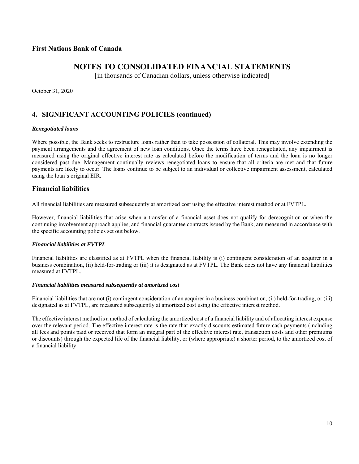[in thousands of Canadian dollars, unless otherwise indicated]

October 31, 2020

## **4. SIGNIFICANT ACCOUNTING POLICIES (continued)**

#### *Renegotiated loans*

Where possible, the Bank seeks to restructure loans rather than to take possession of collateral. This may involve extending the payment arrangements and the agreement of new loan conditions. Once the terms have been renegotiated, any impairment is measured using the original effective interest rate as calculated before the modification of terms and the loan is no longer considered past due. Management continually reviews renegotiated loans to ensure that all criteria are met and that future payments are likely to occur. The loans continue to be subject to an individual or collective impairment assessment, calculated using the loan's original EIR.

### **Financial liabilities**

All financial liabilities are measured subsequently at amortized cost using the effective interest method or at FVTPL.

However, financial liabilities that arise when a transfer of a financial asset does not qualify for derecognition or when the continuing involvement approach applies, and financial guarantee contracts issued by the Bank, are measured in accordance with the specific accounting policies set out below.

#### *Financial liabilities at FVTPL*

Financial liabilities are classified as at FVTPL when the financial liability is (i) contingent consideration of an acquirer in a business combination, (ii) held-for-trading or (iii) it is designated as at FVTPL. The Bank does not have any financial liabilities measured at FVTPL.

#### *Financial liabilities measured subsequently at amortized cost*

Financial liabilities that are not (i) contingent consideration of an acquirer in a business combination, (ii) held-for-trading, or (iii) designated as at FVTPL, are measured subsequently at amortized cost using the effective interest method.

The effective interest method is a method of calculating the amortized cost of a financial liability and of allocating interest expense over the relevant period. The effective interest rate is the rate that exactly discounts estimated future cash payments (including all fees and points paid or received that form an integral part of the effective interest rate, transaction costs and other premiums or discounts) through the expected life of the financial liability, or (where appropriate) a shorter period, to the amortized cost of a financial liability.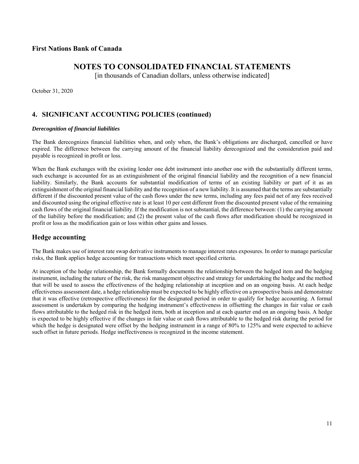[in thousands of Canadian dollars, unless otherwise indicated]

October 31, 2020

## **4. SIGNIFICANT ACCOUNTING POLICIES (continued)**

#### *Derecognition of financial liabilities*

The Bank derecognizes financial liabilities when, and only when, the Bank's obligations are discharged, cancelled or have expired. The difference between the carrying amount of the financial liability derecognized and the consideration paid and payable is recognized in profit or loss.

When the Bank exchanges with the existing lender one debt instrument into another one with the substantially different terms, such exchange is accounted for as an extinguishment of the original financial liability and the recognition of a new financial liability. Similarly, the Bank accounts for substantial modification of terms of an existing liability or part of it as an extinguishment of the original financial liability and the recognition of a new liability. It is assumed that the terms are substantially different if the discounted present value of the cash flows under the new terms, including any fees paid net of any fees received and discounted using the original effective rate is at least 10 per cent different from the discounted present value of the remaining cash flows of the original financial liability. If the modification is not substantial, the difference between: (1) the carrying amount of the liability before the modification; and (2) the present value of the cash flows after modification should be recognized in profit or loss as the modification gain or loss within other gains and losses.

### **Hedge accounting**

The Bank makes use of interest rate swap derivative instruments to manage interest rates exposures. In order to manage particular risks, the Bank applies hedge accounting for transactions which meet specified criteria.

At inception of the hedge relationship, the Bank formally documents the relationship between the hedged item and the hedging instrument, including the nature of the risk, the risk management objective and strategy for undertaking the hedge and the method that will be used to assess the effectiveness of the hedging relationship at inception and on an ongoing basis. At each hedge effectiveness assessment date, a hedge relationship must be expected to be highly effective on a prospective basis and demonstrate that it was effective (retrospective effectiveness) for the designated period in order to qualify for hedge accounting. A formal assessment is undertaken by comparing the hedging instrument's effectiveness in offsetting the changes in fair value or cash flows attributable to the hedged risk in the hedged item, both at inception and at each quarter end on an ongoing basis. A hedge is expected to be highly effective if the changes in fair value or cash flows attributable to the hedged risk during the period for which the hedge is designated were offset by the hedging instrument in a range of 80% to 125% and were expected to achieve such offset in future periods. Hedge ineffectiveness is recognized in the income statement.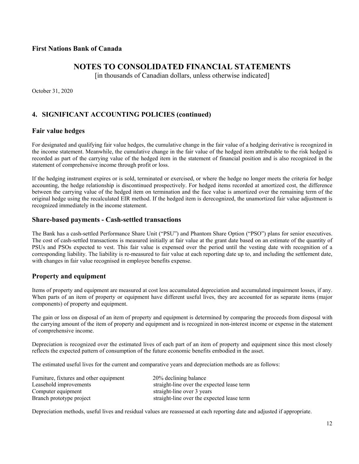[in thousands of Canadian dollars, unless otherwise indicated]

October 31, 2020

## **4. SIGNIFICANT ACCOUNTING POLICIES (continued)**

### **Fair value hedges**

For designated and qualifying fair value hedges, the cumulative change in the fair value of a hedging derivative is recognized in the income statement. Meanwhile, the cumulative change in the fair value of the hedged item attributable to the risk hedged is recorded as part of the carrying value of the hedged item in the statement of financial position and is also recognized in the statement of comprehensive income through profit or loss.

If the hedging instrument expires or is sold, terminated or exercised, or where the hedge no longer meets the criteria for hedge accounting, the hedge relationship is discontinued prospectively. For hedged items recorded at amortized cost, the difference between the carrying value of the hedged item on termination and the face value is amortized over the remaining term of the original hedge using the recalculated EIR method. If the hedged item is derecognized, the unamortized fair value adjustment is recognized immediately in the income statement.

#### **Share-based payments - Cash-settled transactions**

The Bank has a cash-settled Performance Share Unit ("PSU") and Phantom Share Option ("PSO") plans for senior executives. The cost of cash-settled transactions is measured initially at fair value at the grant date based on an estimate of the quantity of PSUs and PSOs expected to vest. This fair value is expensed over the period until the vesting date with recognition of a corresponding liability. The liability is re-measured to fair value at each reporting date up to, and including the settlement date, with changes in fair value recognised in employee benefits expense.

### **Property and equipment**

Items of property and equipment are measured at cost less accumulated depreciation and accumulated impairment losses, if any. When parts of an item of property or equipment have different useful lives, they are accounted for as separate items (major components) of property and equipment.

The gain or loss on disposal of an item of property and equipment is determined by comparing the proceeds from disposal with the carrying amount of the item of property and equipment and is recognized in non-interest income or expense in the statement of comprehensive income.

Depreciation is recognized over the estimated lives of each part of an item of property and equipment since this most closely reflects the expected pattern of consumption of the future economic benefits embodied in the asset.

The estimated useful lives for the current and comparative years and depreciation methods are as follows:

| Furniture, fixtures and other equipment | 20% declining balance                      |
|-----------------------------------------|--------------------------------------------|
| Leasehold improvements                  | straight-line over the expected lease term |
| Computer equipment                      | straight-line over 3 years                 |
| Branch prototype project                | straight-line over the expected lease term |

Depreciation methods, useful lives and residual values are reassessed at each reporting date and adjusted if appropriate.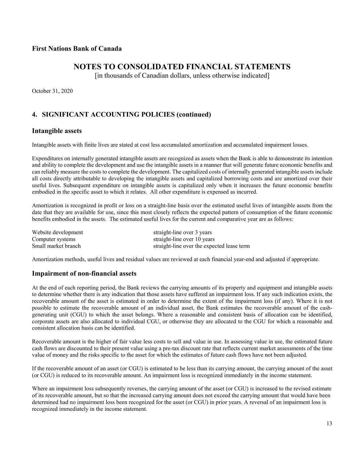## **NOTES TO CONSOLIDATED FINANCIAL STATEMENTS**

[in thousands of Canadian dollars, unless otherwise indicated]

October 31, 2020

## **4. SIGNIFICANT ACCOUNTING POLICIES (continued)**

#### **Intangible assets**

Intangible assets with finite lives are stated at cost less accumulated amortization and accumulated impairment losses.

Expenditures on internally generated intangible assets are recognized as assets when the Bank is able to demonstrate its intention and ability to complete the development and use the intangible assets in a manner that will generate future economic benefits and can reliably measure the costs to complete the development. The capitalized costs of internally generated intangible assets include all costs directly attributable to developing the intangible assets and capitalized borrowing costs and are amortized over their useful lives. Subsequent expenditure on intangible assets is capitalized only when it increases the future economic benefits embodied in the specific asset to which it relates. All other expenditure is expensed as incurred.

Amortization is recognized in profit or loss on a straight-line basis over the estimated useful lives of intangible assets from the date that they are available for use, since this most closely reflects the expected pattern of consumption of the future economic benefits embodied in the assets. The estimated useful lives for the current and comparative year are as follows:

| Website development | straight-line over 3 years                 |
|---------------------|--------------------------------------------|
| Computer systems    | straight-line over 10 years                |
| Small market branch | straight-line over the expected lease term |

Amortization methods, useful lives and residual values are reviewed at each financial year-end and adjusted if appropriate.

### **Impairment of non-financial assets**

At the end of each reporting period, the Bank reviews the carrying amounts of its property and equipment and intangible assets to determine whether there is any indication that those assets have suffered an impairment loss. If any such indication exists, the recoverable amount of the asset is estimated in order to determine the extent of the impairment loss (if any). Where it is not possible to estimate the recoverable amount of an individual asset, the Bank estimates the recoverable amount of the cashgenerating unit (CGU) to which the asset belongs. Where a reasonable and consistent basis of allocation can be identified, corporate assets are also allocated to individual CGU, or otherwise they are allocated to the CGU for which a reasonable and consistent allocation basis can be identified.

Recoverable amount is the higher of fair value less costs to sell and value in use. In assessing value in use, the estimated future cash flows are discounted to their present value using a pre-tax discount rate that reflects current market assessments of the time value of money and the risks specific to the asset for which the estimates of future cash flows have not been adjusted.

If the recoverable amount of an asset (or CGU) is estimated to be less than its carrying amount, the carrying amount of the asset (or CGU) is reduced to its recoverable amount. An impairment loss is recognized immediately in the income statement.

Where an impairment loss subsequently reverses, the carrying amount of the asset (or CGU) is increased to the revised estimate of its recoverable amount, but so that the increased carrying amount does not exceed the carrying amount that would have been determined had no impairment loss been recognized for the asset (or CGU) in prior years. A reversal of an impairment loss is recognized immediately in the income statement.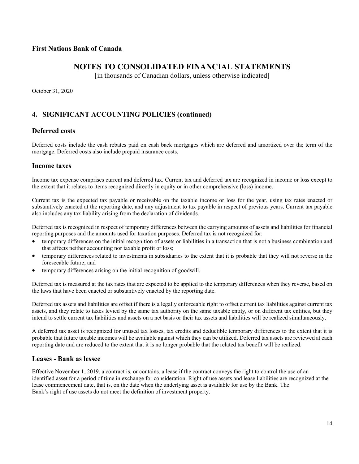## **NOTES TO CONSOLIDATED FINANCIAL STATEMENTS**

[in thousands of Canadian dollars, unless otherwise indicated]

October 31, 2020

## **4. SIGNIFICANT ACCOUNTING POLICIES (continued)**

### **Deferred costs**

Deferred costs include the cash rebates paid on cash back mortgages which are deferred and amortized over the term of the mortgage. Deferred costs also include prepaid insurance costs.

#### **Income taxes**

Income tax expense comprises current and deferred tax. Current tax and deferred tax are recognized in income or loss except to the extent that it relates to items recognized directly in equity or in other comprehensive (loss) income.

Current tax is the expected tax payable or receivable on the taxable income or loss for the year, using tax rates enacted or substantively enacted at the reporting date, and any adjustment to tax payable in respect of previous years. Current tax payable also includes any tax liability arising from the declaration of dividends.

Deferred tax is recognized in respect of temporary differences between the carrying amounts of assets and liabilities for financial reporting purposes and the amounts used for taxation purposes. Deferred tax is not recognized for:

- temporary differences on the initial recognition of assets or liabilities in a transaction that is not a business combination and that affects neither accounting nor taxable profit or loss;
- temporary differences related to investments in subsidiaries to the extent that it is probable that they will not reverse in the foreseeable future; and
- temporary differences arising on the initial recognition of goodwill.

Deferred tax is measured at the tax rates that are expected to be applied to the temporary differences when they reverse, based on the laws that have been enacted or substantively enacted by the reporting date.

Deferred tax assets and liabilities are offset if there is a legally enforceable right to offset current tax liabilities against current tax assets, and they relate to taxes levied by the same tax authority on the same taxable entity, or on different tax entities, but they intend to settle current tax liabilities and assets on a net basis or their tax assets and liabilities will be realized simultaneously.

A deferred tax asset is recognized for unused tax losses, tax credits and deductible temporary differences to the extent that it is probable that future taxable incomes will be available against which they can be utilized. Deferred tax assets are reviewed at each reporting date and are reduced to the extent that it is no longer probable that the related tax benefit will be realized.

### **Leases - Bank as lessee**

Effective November 1, 2019, a contract is, or contains, a lease if the contract conveys the right to control the use of an identified asset for a period of time in exchange for consideration. Right of use assets and lease liabilities are recognized at the lease commencement date, that is, on the date when the underlying asset is available for use by the Bank. The Bank's right of use assets do not meet the definition of investment property.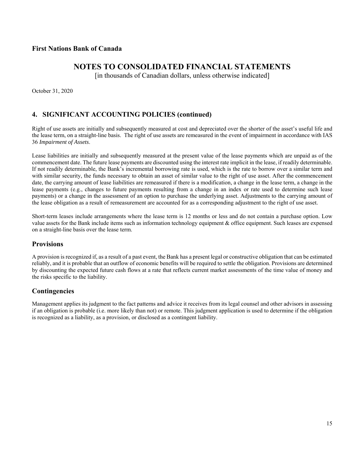[in thousands of Canadian dollars, unless otherwise indicated]

October 31, 2020

## **4. SIGNIFICANT ACCOUNTING POLICIES (continued)**

Right of use assets are initially and subsequently measured at cost and depreciated over the shorter of the asset's useful life and the lease term, on a straight-line basis. The right of use assets are remeasured in the event of impairment in accordance with IAS 36 *Impairment of Assets*.

Lease liabilities are initially and subsequently measured at the present value of the lease payments which are unpaid as of the commencement date. The future lease payments are discounted using the interest rate implicit in the lease, if readily determinable. If not readily determinable, the Bank's incremental borrowing rate is used, which is the rate to borrow over a similar term and with similar security, the funds necessary to obtain an asset of similar value to the right of use asset. After the commencement date, the carrying amount of lease liabilities are remeasured if there is a modification, a change in the lease term, a change in the lease payments (e.g., changes to future payments resulting from a change in an index or rate used to determine such lease payments) or a change in the assessment of an option to purchase the underlying asset. Adjustments to the carrying amount of the lease obligation as a result of remeasurement are accounted for as a corresponding adjustment to the right of use asset.

Short-term leases include arrangements where the lease term is 12 months or less and do not contain a purchase option. Low value assets for the Bank include items such as information technology equipment & office equipment. Such leases are expensed on a straight-line basis over the lease term.

### **Provisions**

A provision is recognized if, as a result of a past event, the Bank has a present legal or constructive obligation that can be estimated reliably, and it is probable that an outflow of economic benefits will be required to settle the obligation. Provisions are determined by discounting the expected future cash flows at a rate that reflects current market assessments of the time value of money and the risks specific to the liability.

### **Contingencies**

Management applies its judgment to the fact patterns and advice it receives from its legal counsel and other advisors in assessing if an obligation is probable (i.e. more likely than not) or remote. This judgment application is used to determine if the obligation is recognized as a liability, as a provision, or disclosed as a contingent liability.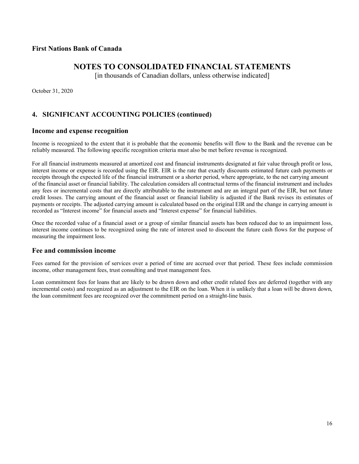## **NOTES TO CONSOLIDATED FINANCIAL STATEMENTS**

[in thousands of Canadian dollars, unless otherwise indicated]

October 31, 2020

## **4. SIGNIFICANT ACCOUNTING POLICIES (continued)**

#### **Income and expense recognition**

Income is recognized to the extent that it is probable that the economic benefits will flow to the Bank and the revenue can be reliably measured. The following specific recognition criteria must also be met before revenue is recognized.

For all financial instruments measured at amortized cost and financial instruments designated at fair value through profit or loss, interest income or expense is recorded using the EIR. EIR is the rate that exactly discounts estimated future cash payments or receipts through the expected life of the financial instrument or a shorter period, where appropriate, to the net carrying amount of the financial asset or financial liability. The calculation considers all contractual terms of the financial instrument and includes any fees or incremental costs that are directly attributable to the instrument and are an integral part of the EIR, but not future credit losses. The carrying amount of the financial asset or financial liability is adjusted if the Bank revises its estimates of payments or receipts. The adjusted carrying amount is calculated based on the original EIR and the change in carrying amount is recorded as "Interest income" for financial assets and "Interest expense" for financial liabilities.

Once the recorded value of a financial asset or a group of similar financial assets has been reduced due to an impairment loss, interest income continues to be recognized using the rate of interest used to discount the future cash flows for the purpose of measuring the impairment loss.

### **Fee and commission income**

Fees earned for the provision of services over a period of time are accrued over that period. These fees include commission income, other management fees, trust consulting and trust management fees.

Loan commitment fees for loans that are likely to be drawn down and other credit related fees are deferred (together with any incremental costs) and recognized as an adjustment to the EIR on the loan. When it is unlikely that a loan will be drawn down, the loan commitment fees are recognized over the commitment period on a straight-line basis.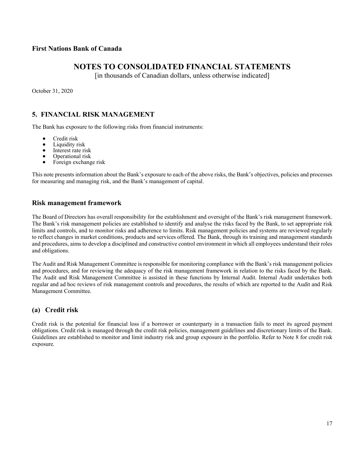[in thousands of Canadian dollars, unless otherwise indicated]

October 31, 2020

## **5. FINANCIAL RISK MANAGEMENT**

The Bank has exposure to the following risks from financial instruments:

- 
- Credit risk<br>• Liquidity risk<br>• Interest rate ri
- Interest rate risk<br>Operational risk
- 
- $\bullet$  Foreign exchange risk

This note presents information about the Bank's exposure to each of the above risks, the Bank's objectives, policies and processes for measuring and managing risk, and the Bank's management of capital.

### **Risk management framework**

The Board of Directors has overall responsibility for the establishment and oversight of the Bank's risk management framework. The Bank's risk management policies are established to identify and analyse the risks faced by the Bank, to set appropriate risk limits and controls, and to monitor risks and adherence to limits. Risk management policies and systems are reviewed regularly to reflect changes in market conditions, products and services offered. The Bank, through its training and management standards and procedures, aims to develop a disciplined and constructive control environment in which all employees understand their roles and obligations.

The Audit and Risk Management Committee is responsible for monitoring compliance with the Bank's risk management policies and procedures, and for reviewing the adequacy of the risk management framework in relation to the risks faced by the Bank. The Audit and Risk Management Committee is assisted in these functions by Internal Audit. Internal Audit undertakes both regular and ad hoc reviews of risk management controls and procedures, the results of which are reported to the Audit and Risk Management Committee.

### **(a) Credit risk**

Credit risk is the potential for financial loss if a borrower or counterparty in a transaction fails to meet its agreed payment obligations. Credit risk is managed through the credit risk policies, management guidelines and discretionary limits of the Bank. Guidelines are established to monitor and limit industry risk and group exposure in the portfolio. Refer to Note 8 for credit risk exposure.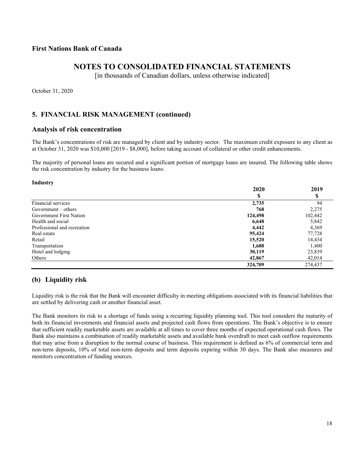## **NOTES TO CONSOLIDATED FINANCIAL STATEMENTS**

[in thousands of Canadian dollars, unless otherwise indicated]

October 31, 2020

### **5. FINANCIAL RISK MANAGEMENT (continued)**

#### **Analysis of risk concentration**

The Bank's concentrations of risk are managed by client and by industry sector. The maximum credit exposure to any client as at October 31, 2020 was \$10,000 [2019 - \$8,000], before taking account of collateral or other credit enhancements.

The majority of personal loans are secured and a significant portion of mortgage loans are insured. The following table shows the risk concentration by industry for the business loans:

#### **Industry**

|                                | 2020    | 2019    |
|--------------------------------|---------|---------|
|                                | \$      | S       |
| Financial services             | 2,735   | 94      |
| $Government - others$          | 768     | 2,275   |
| <b>Government First Nation</b> | 124,498 | 102,442 |
| Health and social              | 6,648   | 5,842   |
| Professional and recreation    | 4,442   | 4,369   |
| Real estate                    | 95,424  | 77,728  |
| Retail                         | 15,520  | 14,434  |
| Transportation                 | 1,688   | 1.400   |
| Hotel and lodging              | 30,119  | 23,839  |
| Others                         | 42,867  | 42,014  |
|                                | 324,709 | 274,437 |

### **(b) Liquidity risk**

Liquidity risk is the risk that the Bank will encounter difficulty in meeting obligations associated with its financial liabilities that are settled by delivering cash or another financial asset.

The Bank monitors its risk to a shortage of funds using a recurring liquidity planning tool. This tool considers the maturity of both its financial investments and financial assets and projected cash flows from operations. The Bank's objective is to ensure that sufficient readily marketable assets are available at all times to cover three months of expected operational cash flows. The Bank also maintains a combination of readily marketable assets and available bank overdraft to meet cash outflow requirements that may arise from a disruption to the normal course of business. This requirement is defined as 6% of commercial term and non-term deposits, 10% of total non-term deposits and term deposits expiring within 30 days. The Bank also measures and monitors concentration of funding sources.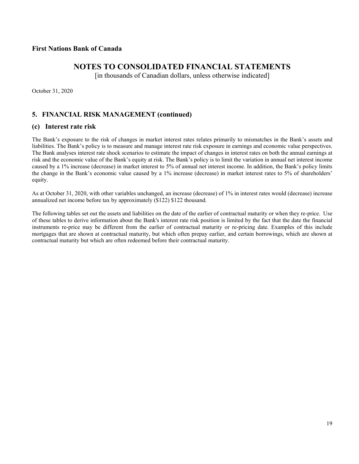[in thousands of Canadian dollars, unless otherwise indicated]

October 31, 2020

## **5. FINANCIAL RISK MANAGEMENT (continued)**

### **(c) Interest rate risk**

The Bank's exposure to the risk of changes in market interest rates relates primarily to mismatches in the Bank's assets and liabilities. The Bank's policy is to measure and manage interest rate risk exposure in earnings and economic value perspectives. The Bank analyses interest rate shock scenarios to estimate the impact of changes in interest rates on both the annual earnings at risk and the economic value of the Bank's equity at risk. The Bank's policy is to limit the variation in annual net interest income caused by a 1% increase (decrease) in market interest to 5% of annual net interest income. In addition, the Bank's policy limits the change in the Bank's economic value caused by a 1% increase (decrease) in market interest rates to 5% of shareholders' equity.

As at October 31, 2020, with other variables unchanged, an increase (decrease) of 1% in interest rates would (decrease) increase annualized net income before tax by approximately (\$122) \$122 thousand.

The following tables set out the assets and liabilities on the date of the earlier of contractual maturity or when they re-price. Use of these tables to derive information about the Bank's interest rate risk position is limited by the fact that the date the financial instruments re-price may be different from the earlier of contractual maturity or re-pricing date. Examples of this include mortgages that are shown at contractual maturity, but which often prepay earlier, and certain borrowings, which are shown at contractual maturity but which are often redeemed before their contractual maturity.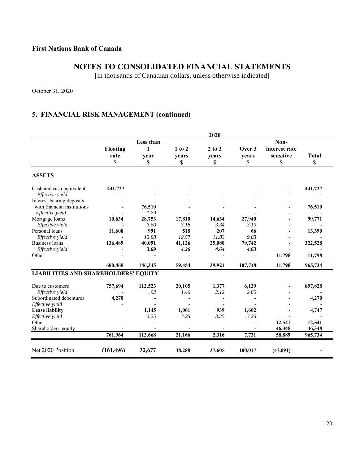# **NOTES TO CONSOLIDATED FINANCIAL STATEMENTS**

[in thousands of Canadian dollars, unless otherwise indicated]

October 31, 2020

# **5. FINANCIAL RISK MANAGEMENT (continued)**

|                                             |                 |           |            | 2020           |         |               |              |
|---------------------------------------------|-----------------|-----------|------------|----------------|---------|---------------|--------------|
|                                             |                 | Less than |            |                |         | Non-          |              |
|                                             | <b>Floating</b> | 1         | $1$ to $2$ | $2$ to $3$     | Over 3  | interest rate |              |
|                                             | rate            | year      | years      | years          | vears   | sensitive     | <b>Total</b> |
|                                             | \$              | \$        | \$         | \$             | \$      | \$            | \$           |
| <b>ASSETS</b>                               |                 |           |            |                |         |               |              |
| Cash and cash equivalents                   | 441,737         |           |            |                |         |               | 441,737      |
| Effective yield                             |                 |           |            |                |         |               |              |
| Interest-bearing deposits                   |                 |           |            |                |         |               |              |
| with financial institutions                 |                 | 76,510    |            |                |         |               | 76,510       |
| Effective yield                             |                 | 1.79      |            |                |         |               |              |
| Mortgage loans                              | 10,634          | 28,753    | 17,810     | 14,634         | 27,940  |               | 99,771       |
| Effective yield                             |                 | 3.60      | 3.18       | 3.34           | 3.19    |               |              |
| Personal loans                              | 11,608          | 991       | 518        | 207            | 66      |               | 13,390       |
| Effective yield                             |                 | 12.88     | 12.57      | 11.83          | 9.83    |               |              |
| <b>Business loans</b>                       | 136,489         | 40,091    | 41,126     | 25,080         | 79,742  |               | 322,528      |
| Effective yield                             |                 | 3.69      | 4.26       | 4.64           | 4.63    |               |              |
| Other                                       |                 |           |            | $\blacksquare$ |         | 11,798        | 11,798       |
|                                             | 600,468         | 146,345   | 59,454     | 39,921         | 107,748 | 11,798        | 965,734      |
| <b>LIABILITIES AND SHAREHOLDERS' EQUITY</b> |                 |           |            |                |         |               |              |
| Due to customers                            | 757,694         | 112,523   | 20,105     | 1,377          | 6,129   |               | 897,828      |
| Effective vield                             |                 | .92       | 1.46       | 2.12           | 2.60    |               |              |
| Subordinated debentures                     | 4,270           |           |            |                |         |               | 4,270        |
| Effective yield                             |                 |           |            |                |         |               |              |
| <b>Lease liability</b>                      |                 | 1,145     | 1,061      | 939            | 1,602   |               | 4,747        |
| Effective yield                             |                 | 3.25      | 3.25       | 3.25           | 3.25    |               |              |
| Other                                       |                 |           |            |                |         | 12,541        | 12,541       |
| Shareholders' equity                        |                 |           |            |                |         | 46,348        | 46,348       |
|                                             | 761,964         | 113,668   | 21,166     | 2,316          | 7,731   | 58.889        | 965,734      |
| Net 2020 Position                           | (161, 496)      | 32,677    | 38,288     | 37,605         | 100,017 | (47,091)      |              |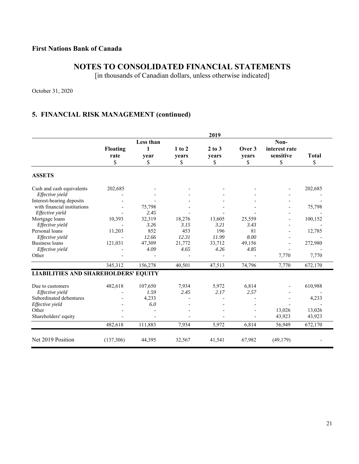# **NOTES TO CONSOLIDATED FINANCIAL STATEMENTS**

[in thousands of Canadian dollars, unless otherwise indicated]

October 31, 2020

# **5. FINANCIAL RISK MANAGEMENT (continued)**

|                                             |            |           |            | 2019       |        |               |              |
|---------------------------------------------|------------|-----------|------------|------------|--------|---------------|--------------|
|                                             |            | Less than |            |            |        | Non-          |              |
|                                             | Floating   | 1         | $1$ to $2$ | $2$ to $3$ | Over 3 | interest rate |              |
|                                             | rate       | year      | years      | vears      | years  | sensitive     | <b>Total</b> |
|                                             | \$         | \$        | \$         | \$         | \$     | \$            | \$           |
| <b>ASSETS</b>                               |            |           |            |            |        |               |              |
| Cash and cash equivalents                   | 202,685    |           |            |            |        |               | 202,685      |
| Effective yield                             |            |           |            |            |        |               |              |
| Interest-bearing deposits                   |            |           |            |            |        |               |              |
| with financial institutions                 |            | 75,798    |            |            |        |               | 75,798       |
| Effective vield                             |            | 2.45      |            |            |        |               |              |
| Mortgage loans                              | 10,393     | 32,319    | 18,276     | 13,605     | 25,559 |               | 100,152      |
| Effective yield                             |            | 3.26      | 3.15       | 3.21       | 3.43   |               |              |
| Personal loans                              | 11,203     | 852       | 453        | 196        | 81     |               | 12,785       |
| Effective yield                             |            | 12.66     | 12.31      | 11.99      | 8.00   |               |              |
| <b>Business loans</b>                       | 121,031    | 47,309    | 21,772     | 33,712     | 49,156 |               | 272,980      |
| Effective yield                             |            | 4.09      | 4.65       | 4.26       | 4.85   |               |              |
| Other                                       |            |           |            |            |        | 7,770         | 7,770        |
|                                             | 345,312    | 156,278   | 40,501     | 47,513     | 74,796 | 7,770         | 672,170      |
| <b>LIABILITIES AND SHAREHOLDERS' EQUITY</b> |            |           |            |            |        |               |              |
| Due to customers                            | 482,618    | 107,650   | 7,934      | 5,972      | 6,814  |               | 610,988      |
| Effective vield                             |            | 1.59      | 2.45       | 2.17       | 2.57   |               |              |
| Subordinated debentures                     |            | 4,233     |            |            |        |               | 4,233        |
| Effective yield                             |            | 6.0       |            |            |        |               |              |
| Other                                       |            |           |            |            |        | 13,026        | 13,026       |
| Shareholders' equity                        |            |           |            |            |        | 43,923        | 43,923       |
|                                             | 482,618    | 111,883   | 7,934      | 5,972      | 6,814  | 56,949        | 672,170      |
| Net 2019 Position                           | (137, 306) | 44,395    | 32,567     | 41,541     | 67,982 | (49,179)      |              |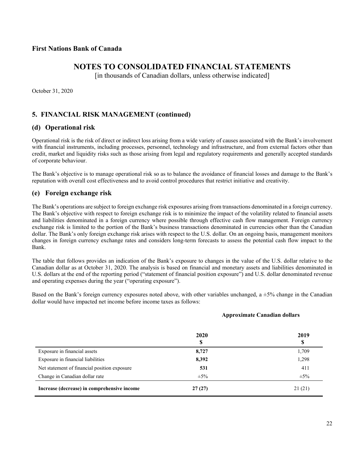[in thousands of Canadian dollars, unless otherwise indicated]

October 31, 2020

## **5. FINANCIAL RISK MANAGEMENT (continued)**

### **(d) Operational risk**

Operational risk is the risk of direct or indirect loss arising from a wide variety of causes associated with the Bank's involvement with financial instruments, including processes, personnel, technology and infrastructure, and from external factors other than credit, market and liquidity risks such as those arising from legal and regulatory requirements and generally accepted standards of corporate behaviour.

The Bank's objective is to manage operational risk so as to balance the avoidance of financial losses and damage to the Bank's reputation with overall cost effectiveness and to avoid control procedures that restrict initiative and creativity.

### **(e) Foreign exchange risk**

The Bank's operations are subject to foreign exchange risk exposures arising from transactions denominated in a foreign currency. The Bank's objective with respect to foreign exchange risk is to minimize the impact of the volatility related to financial assets and liabilities denominated in a foreign currency where possible through effective cash flow management. Foreign currency exchange risk is limited to the portion of the Bank's business transactions denominated in currencies other than the Canadian dollar. The Bank's only foreign exchange risk arises with respect to the U.S. dollar. On an ongoing basis, management monitors changes in foreign currency exchange rates and considers long-term forecasts to assess the potential cash flow impact to the Bank.

The table that follows provides an indication of the Bank's exposure to changes in the value of the U.S. dollar relative to the Canadian dollar as at October 31, 2020. The analysis is based on financial and monetary assets and liabilities denominated in U.S. dollars at the end of the reporting period ("statement of financial position exposure") and U.S. dollar denominated revenue and operating expenses during the year ("operating exposure").

Based on the Bank's foreign currency exposures noted above, with other variables unchanged,  $a \pm 5\%$  change in the Canadian dollar would have impacted net income before income taxes as follows:

|                                              | 2020<br>\$ | 2019<br>\$ |
|----------------------------------------------|------------|------------|
|                                              |            |            |
| Exposure in financial assets                 | 8,727      | 1,709      |
| Exposure in financial liabilities            | 8,392      | 1,298      |
| Net statement of financial position exposure | 531        | 411        |
| Change in Canadian dollar rate               | $\pm 5\%$  | $\pm 5\%$  |
| Increase (decrease) in comprehensive income  | 27(27)     | 21 (21)    |

#### **Approximate Canadian dollars**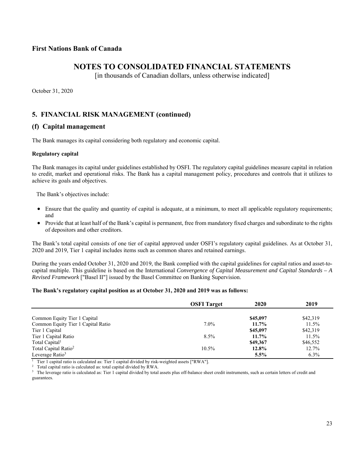## **NOTES TO CONSOLIDATED FINANCIAL STATEMENTS**

[in thousands of Canadian dollars, unless otherwise indicated]

October 31, 2020

### **5. FINANCIAL RISK MANAGEMENT (continued)**

#### **(f) Capital management**

The Bank manages its capital considering both regulatory and economic capital.

#### **Regulatory capital**

The Bank manages its capital under guidelines established by OSFI. The regulatory capital guidelines measure capital in relation to credit, market and operational risks. The Bank has a capital management policy, procedures and controls that it utilizes to achieve its goals and objectives.

The Bank's objectives include:

- Ensure that the quality and quantity of capital is adequate, at a minimum, to meet all applicable regulatory requirements; and
- Provide that at least half of the Bank's capital is permanent, free from mandatory fixed charges and subordinate to the rights of depositors and other creditors.

The Bank's total capital consists of one tier of capital approved under OSFI's regulatory capital guidelines. As at October 31, 2020 and 2019, Tier 1 capital includes items such as common shares and retained earnings.

During the years ended October 31, 2020 and 2019, the Bank complied with the capital guidelines for capital ratios and asset-tocapital multiple. This guideline is based on the International *Convergence of Capital Measurement and Capital Standards – A Revised Framework* ["Basel II"] issued by the Basel Committee on Banking Supervision.

#### **The Bank's regulatory capital position as at October 31, 2020 and 2019 was as follows:**

| <b>OSFI</b> Target | 2020     | 2019     |
|--------------------|----------|----------|
|                    |          |          |
|                    |          | \$42,319 |
| $7.0\%$            | $11.7\%$ | 11.5%    |
|                    | \$45,097 | \$42,319 |
| 8.5%               | $11.7\%$ | 11.5%    |
|                    | \$49,367 | \$46,552 |
| $10.5\%$           | 12.8%    | 12.7%    |
|                    | 5.5%     | $6.3\%$  |
|                    |          | \$45,097 |

Tier 1 capital ratio is calculated as: Tier 1 capital divided by risk-weighted assets ["RWA"].<br><sup>2</sup> Total capital ratio is calculated as: total capital divided by  $\overline{P}W\Lambda$ 

Total capital ratio is calculated as: total capital divided by RWA.

<sup>3</sup> The leverage ratio is calculated as: Tier 1 capital divided by total assets plus off-balance sheet credit instruments, such as certain letters of credit and guarantees.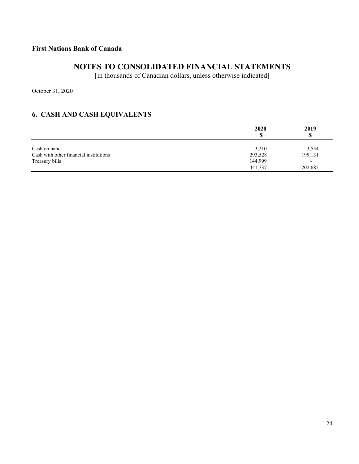# **NOTES TO CONSOLIDATED FINANCIAL STATEMENTS**

[in thousands of Canadian dollars, unless otherwise indicated]

October 31, 2020

# **6. CASH AND CASH EQUIVALENTS**

|                                        | 2020    | 2019    |
|----------------------------------------|---------|---------|
|                                        | S       |         |
|                                        |         |         |
| Cash on hand                           | 3,210   | 3,554   |
| Cash with other financial institutions | 293,528 | 199,131 |
| Treasury bills                         | 144,999 | -       |
|                                        | 441,737 | 202,685 |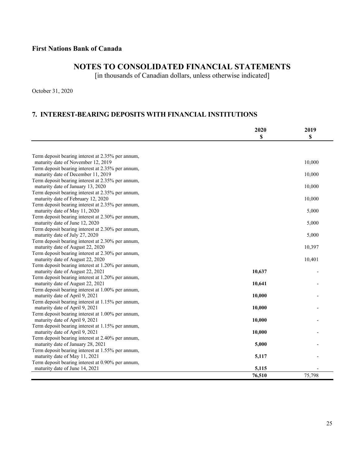[in thousands of Canadian dollars, unless otherwise indicated]

October 31, 2020

# **7. INTEREST-BEARING DEPOSITS WITH FINANCIAL INSTITUTIONS**

| Term deposit bearing interest at 2.35% per annum,<br>maturity date of November 12, 2019<br>10,000<br>Term deposit bearing interest at 2.35% per annum,<br>maturity date of December 11, 2019<br>10,000<br>Term deposit bearing interest at 2.35% per annum,<br>maturity date of January 13, 2020<br>10,000<br>Term deposit bearing interest at 2.35% per annum,<br>maturity date of February 12, 2020<br>10,000<br>Term deposit bearing interest at 2.35% per annum,<br>maturity date of May 11, 2020<br>5,000<br>Term deposit bearing interest at 2.30% per annum,<br>maturity date of June 12, 2020<br>5,000<br>Term deposit bearing interest at 2.30% per annum,<br>maturity date of July 27, 2020<br>5,000<br>Term deposit bearing interest at 2.30% per annum,<br>maturity date of August 22, 2020<br>10,397<br>Term deposit bearing interest at 2.30% per annum,<br>maturity date of August 22, 2020<br>10,401<br>Term deposit bearing interest at 1.20% per annum,<br>10,637<br>maturity date of August 22, 2021<br>Term deposit bearing interest at 1.20% per annum,<br>maturity date of August 22, 2021<br>10,641<br>Term deposit bearing interest at 1.00% per annum,<br>10,000<br>maturity date of April 9, 2021<br>Term deposit bearing interest at 1.15% per annum,<br>10,000<br>maturity date of April 9, 2021<br>Term deposit bearing interest at 1.00% per annum,<br>10,000<br>maturity date of April 9, 2021<br>Term deposit bearing interest at 1.15% per annum,<br>maturity date of April 9, 2021<br>10,000<br>Term deposit bearing interest at 2.40% per annum,<br>maturity date of January 28, 2021<br>5,000<br>Term deposit bearing interest at 1.55% per annum,<br>maturity date of May 11, 2021<br>5,117<br>Term deposit bearing interest at 0.90% per annum,<br>maturity date of June 14, 2021<br>5,115 | 2020<br>S | 2019<br>S |
|----------------------------------------------------------------------------------------------------------------------------------------------------------------------------------------------------------------------------------------------------------------------------------------------------------------------------------------------------------------------------------------------------------------------------------------------------------------------------------------------------------------------------------------------------------------------------------------------------------------------------------------------------------------------------------------------------------------------------------------------------------------------------------------------------------------------------------------------------------------------------------------------------------------------------------------------------------------------------------------------------------------------------------------------------------------------------------------------------------------------------------------------------------------------------------------------------------------------------------------------------------------------------------------------------------------------------------------------------------------------------------------------------------------------------------------------------------------------------------------------------------------------------------------------------------------------------------------------------------------------------------------------------------------------------------------------------------------------------------------------------------------------------------------------------------------------------------|-----------|-----------|
|                                                                                                                                                                                                                                                                                                                                                                                                                                                                                                                                                                                                                                                                                                                                                                                                                                                                                                                                                                                                                                                                                                                                                                                                                                                                                                                                                                                                                                                                                                                                                                                                                                                                                                                                                                                                                                  |           |           |
|                                                                                                                                                                                                                                                                                                                                                                                                                                                                                                                                                                                                                                                                                                                                                                                                                                                                                                                                                                                                                                                                                                                                                                                                                                                                                                                                                                                                                                                                                                                                                                                                                                                                                                                                                                                                                                  |           |           |
|                                                                                                                                                                                                                                                                                                                                                                                                                                                                                                                                                                                                                                                                                                                                                                                                                                                                                                                                                                                                                                                                                                                                                                                                                                                                                                                                                                                                                                                                                                                                                                                                                                                                                                                                                                                                                                  |           |           |
|                                                                                                                                                                                                                                                                                                                                                                                                                                                                                                                                                                                                                                                                                                                                                                                                                                                                                                                                                                                                                                                                                                                                                                                                                                                                                                                                                                                                                                                                                                                                                                                                                                                                                                                                                                                                                                  |           |           |
|                                                                                                                                                                                                                                                                                                                                                                                                                                                                                                                                                                                                                                                                                                                                                                                                                                                                                                                                                                                                                                                                                                                                                                                                                                                                                                                                                                                                                                                                                                                                                                                                                                                                                                                                                                                                                                  |           |           |
|                                                                                                                                                                                                                                                                                                                                                                                                                                                                                                                                                                                                                                                                                                                                                                                                                                                                                                                                                                                                                                                                                                                                                                                                                                                                                                                                                                                                                                                                                                                                                                                                                                                                                                                                                                                                                                  |           |           |
|                                                                                                                                                                                                                                                                                                                                                                                                                                                                                                                                                                                                                                                                                                                                                                                                                                                                                                                                                                                                                                                                                                                                                                                                                                                                                                                                                                                                                                                                                                                                                                                                                                                                                                                                                                                                                                  |           |           |
|                                                                                                                                                                                                                                                                                                                                                                                                                                                                                                                                                                                                                                                                                                                                                                                                                                                                                                                                                                                                                                                                                                                                                                                                                                                                                                                                                                                                                                                                                                                                                                                                                                                                                                                                                                                                                                  |           |           |
|                                                                                                                                                                                                                                                                                                                                                                                                                                                                                                                                                                                                                                                                                                                                                                                                                                                                                                                                                                                                                                                                                                                                                                                                                                                                                                                                                                                                                                                                                                                                                                                                                                                                                                                                                                                                                                  |           |           |
|                                                                                                                                                                                                                                                                                                                                                                                                                                                                                                                                                                                                                                                                                                                                                                                                                                                                                                                                                                                                                                                                                                                                                                                                                                                                                                                                                                                                                                                                                                                                                                                                                                                                                                                                                                                                                                  |           |           |
|                                                                                                                                                                                                                                                                                                                                                                                                                                                                                                                                                                                                                                                                                                                                                                                                                                                                                                                                                                                                                                                                                                                                                                                                                                                                                                                                                                                                                                                                                                                                                                                                                                                                                                                                                                                                                                  |           |           |
|                                                                                                                                                                                                                                                                                                                                                                                                                                                                                                                                                                                                                                                                                                                                                                                                                                                                                                                                                                                                                                                                                                                                                                                                                                                                                                                                                                                                                                                                                                                                                                                                                                                                                                                                                                                                                                  |           |           |
|                                                                                                                                                                                                                                                                                                                                                                                                                                                                                                                                                                                                                                                                                                                                                                                                                                                                                                                                                                                                                                                                                                                                                                                                                                                                                                                                                                                                                                                                                                                                                                                                                                                                                                                                                                                                                                  |           |           |
|                                                                                                                                                                                                                                                                                                                                                                                                                                                                                                                                                                                                                                                                                                                                                                                                                                                                                                                                                                                                                                                                                                                                                                                                                                                                                                                                                                                                                                                                                                                                                                                                                                                                                                                                                                                                                                  |           |           |
|                                                                                                                                                                                                                                                                                                                                                                                                                                                                                                                                                                                                                                                                                                                                                                                                                                                                                                                                                                                                                                                                                                                                                                                                                                                                                                                                                                                                                                                                                                                                                                                                                                                                                                                                                                                                                                  |           |           |
|                                                                                                                                                                                                                                                                                                                                                                                                                                                                                                                                                                                                                                                                                                                                                                                                                                                                                                                                                                                                                                                                                                                                                                                                                                                                                                                                                                                                                                                                                                                                                                                                                                                                                                                                                                                                                                  |           |           |
|                                                                                                                                                                                                                                                                                                                                                                                                                                                                                                                                                                                                                                                                                                                                                                                                                                                                                                                                                                                                                                                                                                                                                                                                                                                                                                                                                                                                                                                                                                                                                                                                                                                                                                                                                                                                                                  |           |           |
|                                                                                                                                                                                                                                                                                                                                                                                                                                                                                                                                                                                                                                                                                                                                                                                                                                                                                                                                                                                                                                                                                                                                                                                                                                                                                                                                                                                                                                                                                                                                                                                                                                                                                                                                                                                                                                  |           |           |
|                                                                                                                                                                                                                                                                                                                                                                                                                                                                                                                                                                                                                                                                                                                                                                                                                                                                                                                                                                                                                                                                                                                                                                                                                                                                                                                                                                                                                                                                                                                                                                                                                                                                                                                                                                                                                                  |           |           |
|                                                                                                                                                                                                                                                                                                                                                                                                                                                                                                                                                                                                                                                                                                                                                                                                                                                                                                                                                                                                                                                                                                                                                                                                                                                                                                                                                                                                                                                                                                                                                                                                                                                                                                                                                                                                                                  |           |           |
|                                                                                                                                                                                                                                                                                                                                                                                                                                                                                                                                                                                                                                                                                                                                                                                                                                                                                                                                                                                                                                                                                                                                                                                                                                                                                                                                                                                                                                                                                                                                                                                                                                                                                                                                                                                                                                  |           |           |
|                                                                                                                                                                                                                                                                                                                                                                                                                                                                                                                                                                                                                                                                                                                                                                                                                                                                                                                                                                                                                                                                                                                                                                                                                                                                                                                                                                                                                                                                                                                                                                                                                                                                                                                                                                                                                                  |           |           |
|                                                                                                                                                                                                                                                                                                                                                                                                                                                                                                                                                                                                                                                                                                                                                                                                                                                                                                                                                                                                                                                                                                                                                                                                                                                                                                                                                                                                                                                                                                                                                                                                                                                                                                                                                                                                                                  |           |           |
|                                                                                                                                                                                                                                                                                                                                                                                                                                                                                                                                                                                                                                                                                                                                                                                                                                                                                                                                                                                                                                                                                                                                                                                                                                                                                                                                                                                                                                                                                                                                                                                                                                                                                                                                                                                                                                  |           |           |
|                                                                                                                                                                                                                                                                                                                                                                                                                                                                                                                                                                                                                                                                                                                                                                                                                                                                                                                                                                                                                                                                                                                                                                                                                                                                                                                                                                                                                                                                                                                                                                                                                                                                                                                                                                                                                                  |           |           |
|                                                                                                                                                                                                                                                                                                                                                                                                                                                                                                                                                                                                                                                                                                                                                                                                                                                                                                                                                                                                                                                                                                                                                                                                                                                                                                                                                                                                                                                                                                                                                                                                                                                                                                                                                                                                                                  |           |           |
|                                                                                                                                                                                                                                                                                                                                                                                                                                                                                                                                                                                                                                                                                                                                                                                                                                                                                                                                                                                                                                                                                                                                                                                                                                                                                                                                                                                                                                                                                                                                                                                                                                                                                                                                                                                                                                  |           |           |
|                                                                                                                                                                                                                                                                                                                                                                                                                                                                                                                                                                                                                                                                                                                                                                                                                                                                                                                                                                                                                                                                                                                                                                                                                                                                                                                                                                                                                                                                                                                                                                                                                                                                                                                                                                                                                                  |           |           |
|                                                                                                                                                                                                                                                                                                                                                                                                                                                                                                                                                                                                                                                                                                                                                                                                                                                                                                                                                                                                                                                                                                                                                                                                                                                                                                                                                                                                                                                                                                                                                                                                                                                                                                                                                                                                                                  |           |           |
|                                                                                                                                                                                                                                                                                                                                                                                                                                                                                                                                                                                                                                                                                                                                                                                                                                                                                                                                                                                                                                                                                                                                                                                                                                                                                                                                                                                                                                                                                                                                                                                                                                                                                                                                                                                                                                  |           |           |
|                                                                                                                                                                                                                                                                                                                                                                                                                                                                                                                                                                                                                                                                                                                                                                                                                                                                                                                                                                                                                                                                                                                                                                                                                                                                                                                                                                                                                                                                                                                                                                                                                                                                                                                                                                                                                                  |           |           |
|                                                                                                                                                                                                                                                                                                                                                                                                                                                                                                                                                                                                                                                                                                                                                                                                                                                                                                                                                                                                                                                                                                                                                                                                                                                                                                                                                                                                                                                                                                                                                                                                                                                                                                                                                                                                                                  |           |           |
|                                                                                                                                                                                                                                                                                                                                                                                                                                                                                                                                                                                                                                                                                                                                                                                                                                                                                                                                                                                                                                                                                                                                                                                                                                                                                                                                                                                                                                                                                                                                                                                                                                                                                                                                                                                                                                  |           |           |
|                                                                                                                                                                                                                                                                                                                                                                                                                                                                                                                                                                                                                                                                                                                                                                                                                                                                                                                                                                                                                                                                                                                                                                                                                                                                                                                                                                                                                                                                                                                                                                                                                                                                                                                                                                                                                                  |           |           |
|                                                                                                                                                                                                                                                                                                                                                                                                                                                                                                                                                                                                                                                                                                                                                                                                                                                                                                                                                                                                                                                                                                                                                                                                                                                                                                                                                                                                                                                                                                                                                                                                                                                                                                                                                                                                                                  | 76,510    | 75,798    |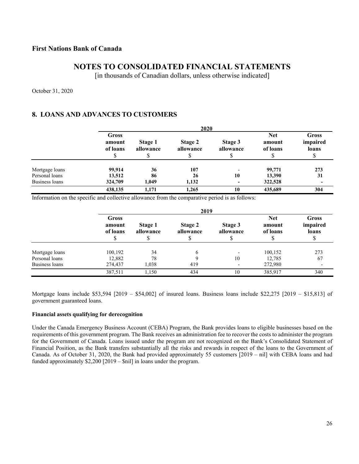## **NOTES TO CONSOLIDATED FINANCIAL STATEMENTS**

[in thousands of Canadian dollars, unless otherwise indicated]

October 31, 2020

### **8. LOANS AND ADVANCES TO CUSTOMERS**

|                | <b>2020</b>                 |                      |                      |                          |                                  |                            |
|----------------|-----------------------------|----------------------|----------------------|--------------------------|----------------------------------|----------------------------|
|                | Gross<br>amount<br>of loans | Stage 1<br>allowance | Stage 2<br>allowance | Stage 3<br>allowance     | <b>Net</b><br>amount<br>of loans | Gross<br>impaired<br>loans |
| Mortgage loans | 99,914                      | 36                   | 107                  | $\overline{\phantom{0}}$ | 99,771                           | 273                        |
| Personal loans | 13,512                      | 86                   | 26                   | 10                       | 13,390                           | 31                         |
| Business loans | 324,709                     | 1,049                | 1,132                | $\overline{\phantom{a}}$ | 322,528                          |                            |
|                | 438,135                     | 1,171                | 1,265                | 10                       | 435,689                          | 304                        |

Information on the specific and collective allowance from the comparative period is as follows:

|                |                             | 2019                 |                      |                          |                                  |                                  |  |
|----------------|-----------------------------|----------------------|----------------------|--------------------------|----------------------------------|----------------------------------|--|
|                | Gross<br>amount<br>of loans | Stage 1<br>allowance | Stage 2<br>allowance | Stage 3<br>allowance     | <b>Net</b><br>amount<br>of loans | Gross<br>impaired<br>loans<br>\$ |  |
| Mortgage loans | 100,192                     | 34                   |                      | $\overline{\phantom{0}}$ | 100,152                          | 273                              |  |
| Personal loans | 12,882                      | 78                   |                      | 10                       | 12,785                           | 67                               |  |
| Business loans | 274,437                     | 1,038                | 419                  | $\overline{\phantom{0}}$ | 272,980                          |                                  |  |
|                | 387,511                     | 1,150                | 434                  | 10                       | 385,917                          | 340                              |  |

Mortgage loans include  $$53,594$  [2019 –  $$54,002$ ] of insured loans. Business loans include  $$22,275$  [2019 –  $$15,813$ ] of government guaranteed loans.

#### **Financial assets qualifying for derecognition**

Under the Canada Emergency Business Account (CEBA) Program, the Bank provides loans to eligible businesses based on the requirements of this government program. The Bank receives an administration fee to recover the costs to administer the program for the Government of Canada. Loans issued under the program are not recognized on the Bank's Consolidated Statement of Financial Position, as the Bank transfers substantially all the risks and rewards in respect of the loans to the Government of Canada. As of October 31, 2020, the Bank had provided approximately 55 customers [2019 – nil] with CEBA loans and had funded approximately \$2,200 [2019 – \$nil] in loans under the program.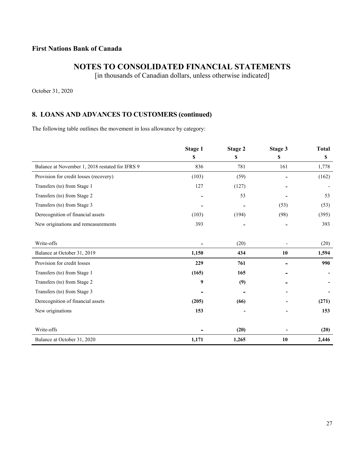# **NOTES TO CONSOLIDATED FINANCIAL STATEMENTS**

[in thousands of Canadian dollars, unless otherwise indicated]

October 31, 2020

# **8. LOANS AND ADVANCES TO CUSTOMERS (continued)**

The following table outlines the movement in loss allowance by category:

|                                                 | Stage 1 | <b>Stage 2</b> | Stage 3 | <b>Total</b> |
|-------------------------------------------------|---------|----------------|---------|--------------|
|                                                 | \$      | \$             | \$      | \$           |
| Balance at November 1, 2018 restated for IFRS 9 | 836     | 781            | 161     | 1,778        |
| Provision for credit losses (recovery)          | (103)   | (59)           |         | (162)        |
| Transfers (to) from Stage 1                     | 127     | (127)          |         |              |
| Transfers (to) from Stage 2                     |         | 53             |         | 53           |
| Transfers (to) from Stage 3                     |         |                | (53)    | (53)         |
| Derecognition of financial assets               | (103)   | (194)          | (98)    | (395)        |
| New originations and remeasurements             | 393     |                |         | 393          |
|                                                 |         |                |         |              |
| Write-offs                                      |         | (20)           |         | (20)         |
| Balance at October 31, 2019                     | 1,150   | 434            | 10      | 1,594        |
| Provision for credit losses                     | 229     | 761            |         | 990          |
| Transfers (to) from Stage 1                     | (165)   | 165            |         |              |
| Transfers (to) from Stage 2                     | 9       | (9)            |         |              |
| Transfers (to) from Stage 3                     |         |                |         |              |
| Derecognition of financial assets               | (205)   | (66)           |         | (271)        |
| New originations                                | 153     |                |         | 153          |
|                                                 |         |                |         |              |
| Write-offs                                      |         | (20)           |         | (20)         |
| Balance at October 31, 2020                     | 1,171   | 1,265          | 10      | 2,446        |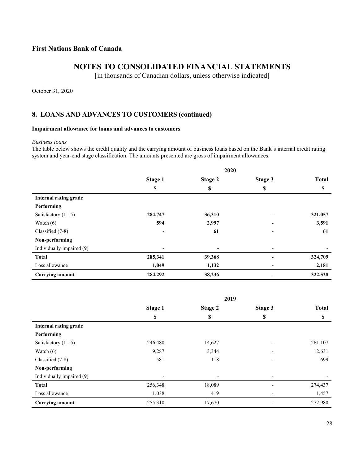# **NOTES TO CONSOLIDATED FINANCIAL STATEMENTS**

[in thousands of Canadian dollars, unless otherwise indicated]

October 31, 2020

## **8. LOANS AND ADVANCES TO CUSTOMERS (continued)**

#### **Impairment allowance for loans and advances to customers**

#### *Business loans*

The table below shows the credit quality and the carrying amount of business loans based on the Bank's internal credit rating system and year-end stage classification. The amounts presented are gross of impairment allowances.

|                              | 2020                     |                          |         |              |  |
|------------------------------|--------------------------|--------------------------|---------|--------------|--|
|                              | Stage 1                  | Stage 2                  | Stage 3 | <b>Total</b> |  |
|                              | \$                       | \$                       | \$      | \$           |  |
| <b>Internal rating grade</b> |                          |                          |         |              |  |
| Performing                   |                          |                          |         |              |  |
| Satisfactory $(1 - 5)$       | 284,747                  | 36,310                   |         | 321,057      |  |
| Watch $(6)$                  | 594                      | 2,997                    |         | 3,591        |  |
| Classified (7-8)             | $\overline{\phantom{a}}$ | 61                       |         | 61           |  |
| Non-performing               |                          |                          |         |              |  |
| Individually impaired (9)    |                          | $\overline{\phantom{a}}$ |         |              |  |
| <b>Total</b>                 | 285,341                  | 39,368                   |         | 324,709      |  |
| Loss allowance               | 1,049                    | 1,132                    | -       | 2,181        |  |
| <b>Carrying amount</b>       | 284,292                  | 38,236                   |         | 322,528      |  |

|                              | 2019                     |                 |         |              |  |  |
|------------------------------|--------------------------|-----------------|---------|--------------|--|--|
|                              | Stage 1                  | Stage 2         | Stage 3 | <b>Total</b> |  |  |
|                              | \$                       | \$              | \$      | \$           |  |  |
| <b>Internal rating grade</b> |                          |                 |         |              |  |  |
| Performing                   |                          |                 |         |              |  |  |
| Satisfactory $(1 - 5)$       | 246,480                  | 14,627          |         | 261,107      |  |  |
| Watch $(6)$                  | 9,287                    | 3,344           |         | 12,631       |  |  |
| Classified $(7-8)$           | 581                      | 118             |         | 699          |  |  |
| Non-performing               |                          |                 |         |              |  |  |
| Individually impaired (9)    | $\overline{\phantom{0}}$ | $\qquad \qquad$ |         |              |  |  |
| <b>Total</b>                 | 256,348                  | 18,089          |         | 274,437      |  |  |
| Loss allowance               | 1,038                    | 419             |         | 1,457        |  |  |
| <b>Carrying amount</b>       | 255,310                  | 17,670          |         | 272,980      |  |  |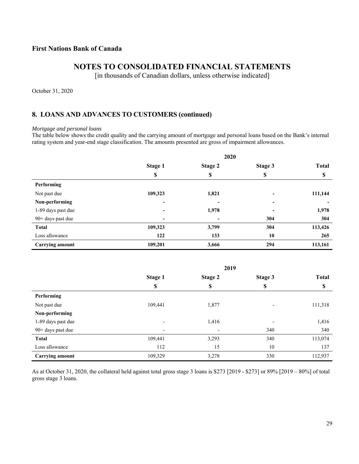# **NOTES TO CONSOLIDATED FINANCIAL STATEMENTS**

[in thousands of Canadian dollars, unless otherwise indicated]

October 31, 2020

#### **8. LOANS AND ADVANCES TO CUSTOMERS (continued)**

#### *Mortgage and personal loans*

The table below shows the credit quality and the carrying amount of mortgage and personal loans based on the Bank's internal rating system and year-end stage classification. The amounts presented are gross of impairment allowances.

|                        | 2020    |                              |              |         |  |  |
|------------------------|---------|------------------------------|--------------|---------|--|--|
|                        | Stage 1 | Stage 3                      | <b>Total</b> |         |  |  |
|                        | \$      | \$                           | \$           | S       |  |  |
| Performing             |         |                              |              |         |  |  |
| Not past due           | 109,323 | 1,821                        | -            | 111,144 |  |  |
| Non-performing         |         | ٠                            | -            |         |  |  |
| 1-89 days past due     |         | 1,978                        |              | 1,978   |  |  |
| 90+ days past due      | ۰       | $\qquad \qquad \blacksquare$ | 304          | 304     |  |  |
| <b>Total</b>           | 109,323 | 3,799                        | 304          | 113,426 |  |  |
| Loss allowance         | 122     | 133                          | 10           | 265     |  |  |
| <b>Carrying amount</b> | 109,201 | 3,666                        | 294          | 113,161 |  |  |

|                        | 2019                     |                          |                          |              |  |
|------------------------|--------------------------|--------------------------|--------------------------|--------------|--|
|                        | <b>Stage 1</b>           | Stage 2                  | Stage 3                  | <b>Total</b> |  |
|                        | \$                       | \$                       | \$                       | \$           |  |
| Performing             |                          |                          |                          |              |  |
| Not past due           | 109,441                  | 1,877                    | $\overline{a}$           | 111,318      |  |
| Non-performing         |                          |                          |                          |              |  |
| 1-89 days past due     | $\overline{\phantom{0}}$ | 1,416                    | $\overline{\phantom{0}}$ | 1,416        |  |
| 90+ days past due      | $\overline{\phantom{0}}$ | $\overline{\phantom{a}}$ | 340                      | 340          |  |
| <b>Total</b>           | 109,441                  | 3,293                    | 340                      | 113,074      |  |
| Loss allowance         | 112                      | 15                       | 10                       | 137          |  |
| <b>Carrying amount</b> | 109,329                  | 3,278                    | 330                      | 112,937      |  |

As at October 31, 2020, the collateral held against total gross stage 3 loans is \$273 [2019 - \$273] or 89% [2019 – 80%] of total gross stage 3 loans.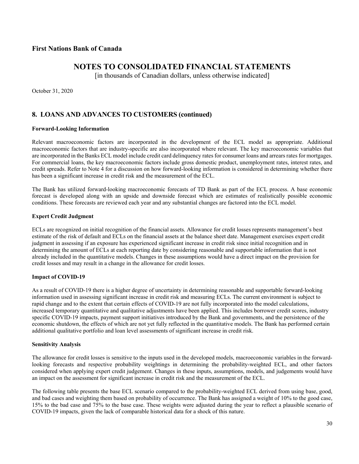[in thousands of Canadian dollars, unless otherwise indicated]

October 31, 2020

## **8. LOANS AND ADVANCES TO CUSTOMERS (continued)**

#### **Forward-Looking Information**

Relevant macroeconomic factors are incorporated in the development of the ECL model as appropriate. Additional macroeconomic factors that are industry-specific are also incorporated where relevant. The key macroeconomic variables that are incorporated in the Banks ECL model include credit card delinquency rates for consumer loans and arrears rates for mortgages. For commercial loans, the key macroeconomic factors include gross domestic product, unemployment rates, interest rates, and credit spreads. Refer to Note 4 for a discussion on how forward-looking information is considered in determining whether there has been a significant increase in credit risk and the measurement of the ECL.

The Bank has utilized forward-looking macroeconomic forecasts of TD Bank as part of the ECL process. A base economic forecast is developed along with an upside and downside forecast which are estimates of realistically possible economic conditions. These forecasts are reviewed each year and any substantial changes are factored into the ECL model.

#### **Expert Credit Judgment**

ECLs are recognized on initial recognition of the financial assets. Allowance for credit losses represents management's best estimate of the risk of default and ECLs on the financial assets at the balance sheet date. Management exercises expert credit judgment in assessing if an exposure has experienced significant increase in credit risk since initial recognition and in determining the amount of ECLs at each reporting date by considering reasonable and supportable information that is not already included in the quantitative models. Changes in these assumptions would have a direct impact on the provision for credit losses and may result in a change in the allowance for credit losses.

#### **Impact of COVID-19**

As a result of COVID-19 there is a higher degree of uncertainty in determining reasonable and supportable forward-looking information used in assessing significant increase in credit risk and measuring ECLs. The current environment is subject to rapid change and to the extent that certain effects of COVID-19 are not fully incorporated into the model calculations, increased temporary quantitative and qualitative adjustments have been applied. This includes borrower credit scores, industry specific COVID-19 impacts, payment support initiatives introduced by the Bank and governments, and the persistence of the economic shutdown, the effects of which are not yet fully reflected in the quantitative models. The Bank has performed certain additional qualitative portfolio and loan level assessments of significant increase in credit risk.

#### **Sensitivity Analysis**

The allowance for credit losses is sensitive to the inputs used in the developed models, macroeconomic variables in the forwardlooking forecasts and respective probability weightings in determining the probability-weighted ECL, and other factors considered when applying expert credit judgement. Changes in these inputs, assumptions, models, and judgements would have an impact on the assessment for significant increase in credit risk and the measurement of the ECL.

The following table presents the base ECL scenario compared to the probability-weighted ECL derived from using base, good, and bad cases and weighting them based on probability of occurrence. The Bank has assigned a weight of 10% to the good case, 15% to the bad case and 75% to the base case. These weights were adjusted during the year to reflect a plausible scenario of COVID-19 impacts, given the lack of comparable historical data for a shock of this nature.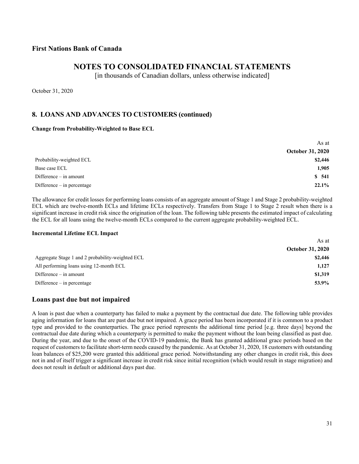## **NOTES TO CONSOLIDATED FINANCIAL STATEMENTS**

[in thousands of Canadian dollars, unless otherwise indicated]

October 31, 2020

### **8. LOANS AND ADVANCES TO CUSTOMERS (continued)**

#### **Change from Probability-Weighted to Base ECL**

|                            | As at                   |
|----------------------------|-------------------------|
|                            | <b>October 31, 2020</b> |
| Probability-weighted ECL   | \$2,446                 |
| Base case ECL              | 1,905                   |
| Difference $-$ in amount   | \$541                   |
| Difference – in percentage | 22.1%                   |

The allowance for credit losses for performing loans consists of an aggregate amount of Stage 1 and Stage 2 probability-weighted ECL which are twelve-month ECLs and lifetime ECLs respectively. Transfers from Stage 1 to Stage 2 result when there is a significant increase in credit risk since the origination of the loan. The following table presents the estimated impact of calculating the ECL for all loans using the twelve-month ECLs compared to the current aggregate probability-weighted ECL.

#### **Incremental Lifetime ECL Impact**

|                                                  | As at                   |
|--------------------------------------------------|-------------------------|
|                                                  | <b>October 31, 2020</b> |
| Aggregate Stage 1 and 2 probability-weighted ECL | \$2,446                 |
| All performing loans using 12-month ECL          | 1,127                   |
| $Differentice - in amount$                       | \$1,319                 |
| Difference $-$ in percentage                     | 53.9%                   |

### **Loans past due but not impaired**

A loan is past due when a counterparty has failed to make a payment by the contractual due date. The following table provides aging information for loans that are past due but not impaired. A grace period has been incorporated if it is common to a product type and provided to the counterparties. The grace period represents the additional time period [e.g. three days] beyond the contractual due date during which a counterparty is permitted to make the payment without the loan being classified as past due. During the year, and due to the onset of the COVID-19 pandemic, the Bank has granted additional grace periods based on the request of customers to facilitate short-term needs caused by the pandemic. As at October 31, 2020, 18 customers with outstanding loan balances of \$25,200 were granted this additional grace period. Notwithstanding any other changes in credit risk, this does not in and of itself trigger a significant increase in credit risk since initial recognition (which would result in stage migration) and does not result in default or additional days past due.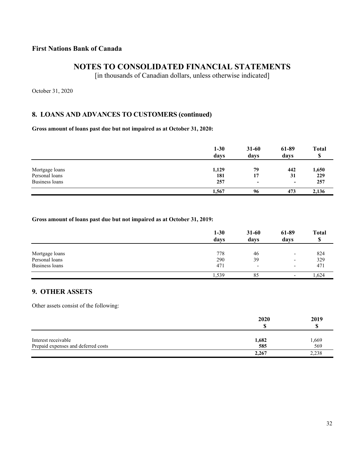# **NOTES TO CONSOLIDATED FINANCIAL STATEMENTS**

[in thousands of Canadian dollars, unless otherwise indicated]

October 31, 2020

## **8. LOANS AND ADVANCES TO CUSTOMERS (continued)**

#### **Gross amount of loans past due but not impaired as at October 31, 2020:**

|                | $1 - 30$<br>davs | $31 - 60$<br>davs | 61-89<br>davs            | <b>Total</b><br>S |
|----------------|------------------|-------------------|--------------------------|-------------------|
|                |                  |                   |                          |                   |
| Mortgage loans | 1,129            | 79                | 442                      | 1,650             |
| Personal loans | 181              | 17                | 31                       | 229               |
| Business loans | 257              |                   | $\overline{\phantom{0}}$ | 257               |
|                | 1,567            | 96                | 473                      | 2,136             |

### **Gross amount of loans past due but not impaired as at October 31, 2019:**

|                | $1 - 30$<br>days | $31-60$<br>davs          | 61-89<br>days            | <b>Total</b> |
|----------------|------------------|--------------------------|--------------------------|--------------|
|                |                  |                          |                          |              |
| Mortgage loans | 778              | 46                       | $\overline{\phantom{0}}$ | 824          |
| Personal loans | 290              | 39                       | $\overline{\phantom{0}}$ | 329          |
| Business loans | 471              | $\overline{\phantom{0}}$ | $\overline{\phantom{0}}$ | 471          |
|                | .539             | 85                       | $\overline{\phantom{0}}$ | 1,624        |

### **9. OTHER ASSETS**

Other assets consist of the following:

|                                     | 2020<br>S | 2019  |
|-------------------------------------|-----------|-------|
|                                     |           |       |
| Interest receivable                 | 1,682     | 1,669 |
| Prepaid expenses and deferred costs | 585       | 569   |
|                                     | 2,267     | 2,238 |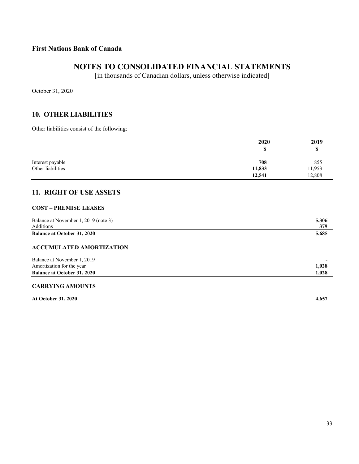# **NOTES TO CONSOLIDATED FINANCIAL STATEMENTS**

[in thousands of Canadian dollars, unless otherwise indicated]

October 31, 2020

### **10. OTHER LIABILITIES**

Other liabilities consist of the following:

|                   | 2020<br>\$ | 2019<br>٨D |
|-------------------|------------|------------|
| Interest payable  | 708        | 855        |
| Other liabilities | 11,833     | 11,953     |
|                   | 12,541     | 12,808     |

### **11. RIGHT OF USE ASSETS**

#### **COST – PREMISE LEASES**

| Balance at November 1, 2019 (note 3) | 5,306 |
|--------------------------------------|-------|
| Additions                            | 379   |
| <b>Balance at October 31, 2020</b>   | 5.685 |

#### **ACCUMULATED AMORTIZATION**

| Balance at November 1, 2019        |       |
|------------------------------------|-------|
| Amortization for the year          | .028  |
| <b>Balance at October 31, 2020</b> | 1.028 |

#### **CARRYING AMOUNTS**

| <b>At October 31, 2020</b> | 4.657 |
|----------------------------|-------|
|----------------------------|-------|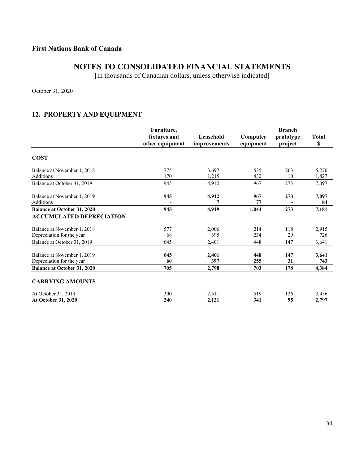# **NOTES TO CONSOLIDATED FINANCIAL STATEMENTS**

[in thousands of Canadian dollars, unless otherwise indicated]

October 31, 2020

# **12. PROPERTY AND EQUIPMENT**

|                                    | Furniture,<br>fixtures and<br>other equipment | Leasehold<br>improvements | Computer<br>equipment | <b>Branch</b><br>prototype<br>project | <b>Total</b><br>\$ |
|------------------------------------|-----------------------------------------------|---------------------------|-----------------------|---------------------------------------|--------------------|
| <b>COST</b>                        |                                               |                           |                       |                                       |                    |
| Balance at November 1, 2018        | 775                                           | 3,697                     | 535                   | 263                                   | 5,270              |
| Additions                          | 170                                           | 1,215                     | 432                   | 10                                    | 1,827              |
| Balance at October 31, 2019        | 945                                           | 4,912                     | 967                   | 273                                   | 7,097              |
| Balance at November 1, 2019        | 945                                           | 4,912                     | 967                   | 273                                   | 7,097              |
| Additions                          |                                               | 7                         | 77                    |                                       | 84                 |
| <b>Balance at October 31, 2020</b> | 945                                           | 4,919                     | 1,044                 | 273                                   | 7,181              |
| <b>ACCUMULATED DEPRECIATION</b>    |                                               |                           |                       |                                       |                    |
| Balance at November 1, 2018        | 577                                           | 2,006                     | 214                   | 118                                   | 2,915              |
| Depreciation for the year          | 68                                            | 395                       | 234                   | 29                                    | 726                |
| Balance at October 31, 2019        | 645                                           | 2,401                     | 448                   | 147                                   | 3,641              |
| Balance at November 1, 2019        | 645                                           | 2,401                     | 448                   | 147                                   | 3,641              |
| Depreciation for the year          | 60                                            | 397                       | 255                   | 31                                    | 743                |
| <b>Balance at October 31, 2020</b> | 705                                           | 2,798                     | 703                   | 178                                   | 4,384              |
| <b>CARRYING AMOUNTS</b>            |                                               |                           |                       |                                       |                    |
| At October 31, 2019                | 300                                           | 2,511                     | 519                   | 126                                   | 3,456              |
| At October 31, 2020                | 240                                           | 2,121                     | 341                   | 95                                    | 2,797              |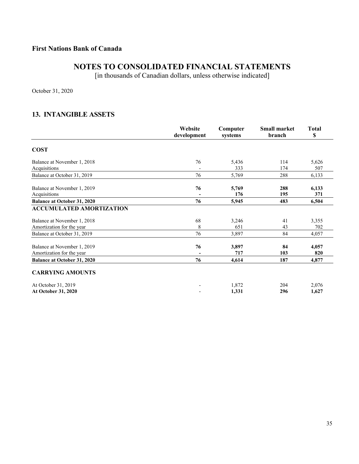# **NOTES TO CONSOLIDATED FINANCIAL STATEMENTS**

[in thousands of Canadian dollars, unless otherwise indicated]

October 31, 2020

## **13. INTANGIBLE ASSETS**

|                                    | Website<br>development | Computer<br>systems | <b>Small market</b><br>branch | <b>Total</b><br>\$ |
|------------------------------------|------------------------|---------------------|-------------------------------|--------------------|
| <b>COST</b>                        |                        |                     |                               |                    |
| Balance at November 1, 2018        | 76                     | 5,436               | 114                           | 5,626              |
| Acquisitions                       |                        | 333                 | 174                           | 507                |
| Balance at October 31, 2019        | 76                     | 5,769               | 288                           | 6,133              |
| Balance at November 1, 2019        | 76                     | 5,769               | 288                           | 6,133              |
| Acquisitions                       |                        | 176                 | 195                           | 371                |
| <b>Balance at October 31, 2020</b> | 76                     | 5,945               | 483                           | 6,504              |
| <b>ACCUMULATED AMORTIZATION</b>    |                        |                     |                               |                    |
| Balance at November 1, 2018        | 68                     | 3,246               | 41                            | 3,355              |
| Amortization for the year          | 8                      | 651                 | 43                            | 702                |
| Balance at October 31, 2019        | 76                     | 3,897               | 84                            | 4,057              |
| Balance at November 1, 2019        | 76                     | 3,897               | 84                            | 4,057              |
| Amortization for the year          |                        | 717                 | 103                           | 820                |
| <b>Balance at October 31, 2020</b> | 76                     | 4,614               | 187                           | 4,877              |
| <b>CARRYING AMOUNTS</b>            |                        |                     |                               |                    |
| At October 31, 2019                |                        | 1,872               | 204                           | 2,076              |
| At October 31, 2020                |                        | 1,331               | 296                           | 1,627              |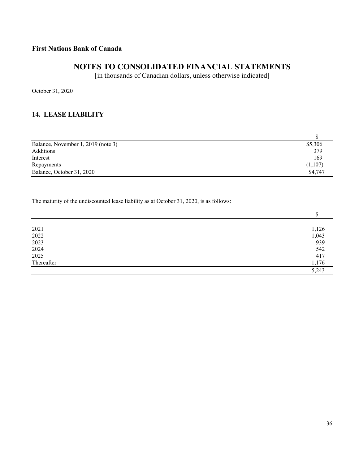# **NOTES TO CONSOLIDATED FINANCIAL STATEMENTS**

[in thousands of Canadian dollars, unless otherwise indicated]

October 31, 2020

## **14. LEASE LIABILITY**

| Balance, November 1, 2019 (note 3) | \$5,306 |
|------------------------------------|---------|
| Additions                          | 379     |
| Interest                           | 169     |
| Repayments                         | (1,107) |
| Balance, October 31, 2020          | \$4,747 |

The maturity of the undiscounted lease liability as at October 31, 2020, is as follows:

|            | Ψ     |
|------------|-------|
|            |       |
| 2021       | 1,126 |
| 2022       | 1,043 |
| 2023       | 939   |
| 2024       | 542   |
| 2025       | 417   |
| Thereafter | 1,176 |
|            | 5,243 |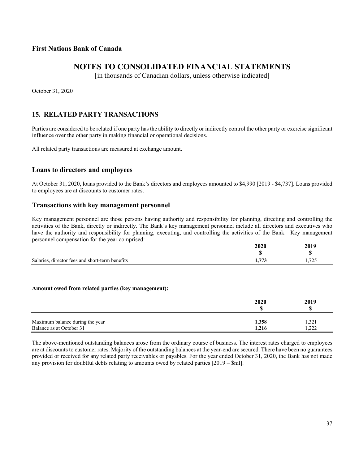# **NOTES TO CONSOLIDATED FINANCIAL STATEMENTS**

[in thousands of Canadian dollars, unless otherwise indicated]

October 31, 2020

### **15. RELATED PARTY TRANSACTIONS**

Parties are considered to be related if one party has the ability to directly or indirectly control the other party or exercise significant influence over the other party in making financial or operational decisions.

All related party transactions are measured at exchange amount.

### **Loans to directors and employees**

At October 31, 2020, loans provided to the Bank's directors and employees amounted to \$4,990 [2019 - \$4,737]. Loans provided to employees are at discounts to customer rates.

#### **Transactions with key management personnel**

Key management personnel are those persons having authority and responsibility for planning, directing and controlling the activities of the Bank, directly or indirectly. The Bank's key management personnel include all directors and executives who have the authority and responsibility for planning, executing, and controlling the activities of the Bank. Key management personnel compensation for the year comprised:

|                                                    | 2020                             | 2019         |
|----------------------------------------------------|----------------------------------|--------------|
|                                                    |                                  |              |
| Salaries.<br>director fees and short-term benefits | $-1$<br>$\overline{\phantom{a}}$ | 705<br>1,72J |

#### **Amount owed from related parties (key management):**

|                                                             | 2020           | 2019              |
|-------------------------------------------------------------|----------------|-------------------|
| Maximum balance during the year<br>Balance as at October 31 | 1,358<br>1,216 | 1,321<br>າາາ<br>. |

The above-mentioned outstanding balances arose from the ordinary course of business. The interest rates charged to employees are at discounts to customer rates. Majority of the outstanding balances at the year-end are secured. There have been no guarantees provided or received for any related party receivables or payables. For the year ended October 31, 2020, the Bank has not made any provision for doubtful debts relating to amounts owed by related parties [2019 – \$nil].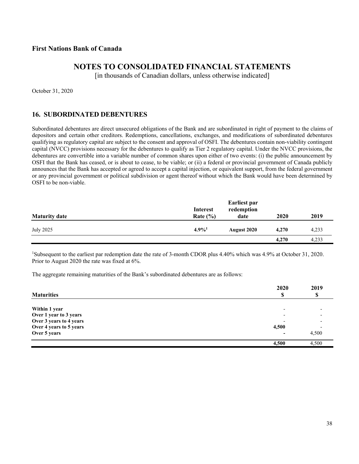[in thousands of Canadian dollars, unless otherwise indicated]

October 31, 2020

### **16. SUBORDINATED DEBENTURES**

Subordinated debentures are direct unsecured obligations of the Bank and are subordinated in right of payment to the claims of depositors and certain other creditors. Redemptions, cancellations, exchanges, and modifications of subordinated debentures qualifying as regulatory capital are subject to the consent and approval of OSFI. The debentures contain non-viability contingent capital (NVCC) provisions necessary for the debentures to qualify as Tier 2 regulatory capital. Under the NVCC provisions, the debentures are convertible into a variable number of common shares upon either of two events: (i) the public announcement by OSFI that the Bank has ceased, or is about to cease, to be viable; or (ii) a federal or provincial government of Canada publicly announces that the Bank has accepted or agreed to accept a capital injection, or equivalent support, from the federal government or any provincial government or political subdivision or agent thereof without which the Bank would have been determined by OSFI to be non-viable.

| <b>Maturity date</b> | <b>Interest</b><br>Rate $(\% )$ | Earliest par<br>redemption<br>date | 2020  | 2019  |  |
|----------------------|---------------------------------|------------------------------------|-------|-------|--|
| <b>July 2025</b>     | $4.9\%$ <sup>1</sup>            | August 2020                        | 4.270 | 4,233 |  |
|                      |                                 |                                    | 4,270 | 4,233 |  |

1 Subsequent to the earliest par redemption date the rate of 3-month CDOR plus 4.40% which was 4.9% at October 31, 2020. Prior to August 2020 the rate was fixed at 6%.

The aggregate remaining maturities of the Bank's subordinated debentures are as follows:

| <b>Maturities</b>       | 2020<br>S                | 2019<br>S |
|-------------------------|--------------------------|-----------|
|                         |                          |           |
| Within 1 year           | $\overline{\phantom{0}}$ |           |
| Over 1 year to 3 years  | $\overline{\phantom{a}}$ |           |
| Over 3 years to 4 years | $\overline{\phantom{0}}$ |           |
| Over 4 years to 5 years | 4,500                    |           |
| Over 5 years            | $\overline{\phantom{a}}$ | 4,500     |
|                         | 4,500                    | 4,500     |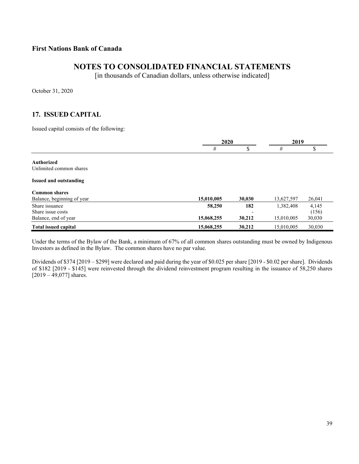# **NOTES TO CONSOLIDATED FINANCIAL STATEMENTS**

[in thousands of Canadian dollars, unless otherwise indicated]

October 31, 2020

### **17. ISSUED CAPITAL**

Issued capital consists of the following:

|                                       | 2020       |        | 2019       |                |  |
|---------------------------------------|------------|--------|------------|----------------|--|
|                                       | #          | \$     | #          | \$             |  |
| Authorized<br>Unlimited common shares |            |        |            |                |  |
| <b>Issued and outstanding</b>         |            |        |            |                |  |
| <b>Common shares</b>                  |            |        |            |                |  |
| Balance, beginning of year            | 15,010,005 | 30,030 | 13,627,597 | 26,041         |  |
| Share issuance<br>Share issue costs   | 58,250     | 182    | 1,382,408  | 4,145<br>(156) |  |
| Balance, end of year                  | 15,068,255 | 30,212 | 15,010,005 | 30,030         |  |
| <b>Total issued capital</b>           | 15,068,255 | 30,212 | 15,010,005 | 30,030         |  |

Under the terms of the Bylaw of the Bank, a minimum of 67% of all common shares outstanding must be owned by Indigenous Investors as defined in the Bylaw. The common shares have no par value.

Dividends of \$374 [2019 – \$299] were declared and paid during the year of \$0.025 per share [2019 - \$0.02 per share]. Dividends of \$182 [2019 - \$145] were reinvested through the dividend reinvestment program resulting in the issuance of 58,250 shares  $[2019 - 49,077]$  shares.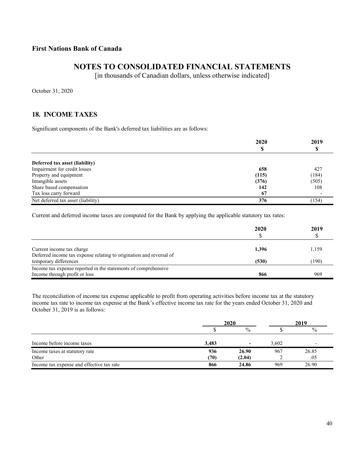# **NOTES TO CONSOLIDATED FINANCIAL STATEMENTS**

[in thousands of Canadian dollars, unless otherwise indicated]

October 31, 2020

### **18. INCOME TAXES**

Significant components of the Bank's deferred tax liabilities are as follows:

|                                    | 2020  | 2019  |  |
|------------------------------------|-------|-------|--|
|                                    |       |       |  |
| Deferred tax asset (liability)     |       |       |  |
| Impairment for credit losses       | 658   | 427   |  |
| Property and equipment             | (115) | (184) |  |
| Intangible assets                  | (376) | (505) |  |
| Share based compensation           | 142   | 108   |  |
| Tax loss carry forward             | 67    |       |  |
| Net deferred tax asset (liability) | 376   | (154) |  |

Current and deferred income taxes are computed for the Bank by applying the applicable statutory tax rates:

|                                                                                                 | 2020  | 2019  |
|-------------------------------------------------------------------------------------------------|-------|-------|
| Current income tax charge                                                                       | 1,396 | 1,159 |
| Deferred income tax expense relating to origination and reversal of<br>temporary differences    | (530) | (190) |
| Income tax expense reported in the statements of comprehensive<br>Income through profit or loss | 866   | 969   |

The reconciliation of income tax expense applicable to profit from operating activities before income tax at the statutory income tax rate to income tax expense at the Bank's effective income tax rate for the years ended October 31, 2020 and October 31, 2019 is as follows:

|                                           | 2020        |                 |       | 2019          |
|-------------------------------------------|-------------|-----------------|-------|---------------|
|                                           |             | $\frac{0}{0}$   |       | $\frac{0}{0}$ |
| Income before income taxes                | 3,483       |                 | 3,602 | -             |
| Income taxes at statutory rate<br>Other   | 936<br>(70) | 26.90<br>(2.04) | 967   | 26.85<br>.05  |
| Income tax expense and effective tax rate | 866         | 24.86           | 969   | 26.90         |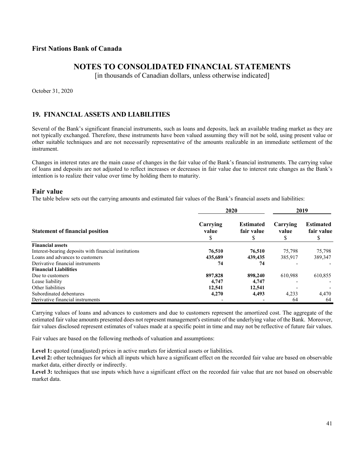[in thousands of Canadian dollars, unless otherwise indicated]

October 31, 2020

### **19. FINANCIAL ASSETS AND LIABILITIES**

Several of the Bank's significant financial instruments, such as loans and deposits, lack an available trading market as they are not typically exchanged. Therefore, these instruments have been valued assuming they will not be sold, using present value or other suitable techniques and are not necessarily representative of the amounts realizable in an immediate settlement of the instrument.

Changes in interest rates are the main cause of changes in the fair value of the Bank's financial instruments. The carrying value of loans and deposits are not adjusted to reflect increases or decreases in fair value due to interest rate changes as the Bank's intention is to realize their value over time by holding them to maturity.

#### **Fair value**

The table below sets out the carrying amounts and estimated fair values of the Bank's financial assets and liabilities:

|                                                       | 2020                    | 2019                                |                        |                                     |  |
|-------------------------------------------------------|-------------------------|-------------------------------------|------------------------|-------------------------------------|--|
| <b>Statement of financial position</b>                | Carrying<br>value<br>\$ | <b>Estimated</b><br>fair value<br>S | Carrying<br>value<br>S | <b>Estimated</b><br>fair value<br>D |  |
| <b>Financial assets</b>                               |                         |                                     |                        |                                     |  |
| Interest-bearing deposits with financial institutions | 76,510                  | 76.510                              | 75,798                 | 75,798                              |  |
| Loans and advances to customers                       | 435,689                 | 439,435                             | 385,917                | 389,347                             |  |
| Derivative financial instruments                      | 74                      | 74                                  |                        |                                     |  |
| <b>Financial Liabilities</b>                          |                         |                                     |                        |                                     |  |
| Due to customers                                      | 897,828                 | 898,240                             | 610.988                | 610.855                             |  |
| Lease liability                                       | 4,747                   | 4,747                               |                        |                                     |  |
| Other liabilities                                     | 12.541                  | 12.541                              |                        |                                     |  |
| Subordinated debentures                               | 4,270                   | 4,493                               | 4,233                  | 4,470                               |  |
| Derivative financial instruments                      |                         |                                     | 64                     | 64                                  |  |

Carrying values of loans and advances to customers and due to customers represent the amortized cost. The aggregate of the estimated fair value amounts presented does not represent management's estimate of the underlying value of the Bank. Moreover, fair values disclosed represent estimates of values made at a specific point in time and may not be reflective of future fair values.

Fair values are based on the following methods of valuation and assumptions:

**Level 1:** quoted (unadjusted) prices in active markets for identical assets or liabilities.

Level 2: other techniques for which all inputs which have a significant effect on the recorded fair value are based on observable market data, either directly or indirectly.

**Level 3:** techniques that use inputs which have a significant effect on the recorded fair value that are not based on observable market data.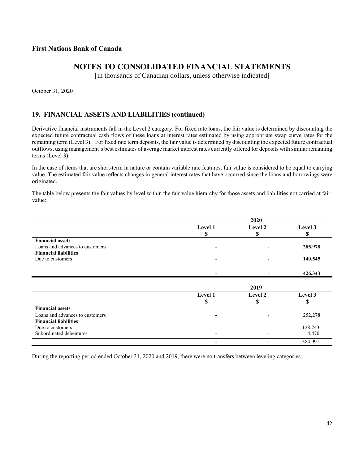[in thousands of Canadian dollars, unless otherwise indicated]

October 31, 2020

### **19. FINANCIAL ASSETS AND LIABILITIES (continued)**

Derivative financial instruments fall in the Level 2 category. For fixed rate loans, the fair value is determined by discounting the expected future contractual cash flows of these loans at interest rates estimated by using appropriate swap curve rates for the remaining term (Level 3). For fixed rate term deposits, the fair value is determined by discounting the expected future contractual outflows, using management's best estimates of average market interest rates currently offered for deposits with similar remaining terms (Level 3).

In the case of items that are short-term in nature or contain variable rate features, fair value is considered to be equal to carrying value. The estimated fair value reflects changes in general interest rates that have occurred since the loans and borrowings were originated.

The table below presents the fair values by level within the fair value hierarchy for those assets and liabilities not carried at fair value:

|                                 |                | 2020    |         |
|---------------------------------|----------------|---------|---------|
|                                 | Level 1        | Level 2 | Level 3 |
|                                 | S              | \$      | \$      |
| <b>Financial assets</b>         |                |         |         |
| Loans and advances to customers |                |         | 285,978 |
| <b>Financial liabilities</b>    |                |         |         |
| Due to customers                |                |         | 140,545 |
|                                 |                |         |         |
|                                 |                |         | 426,343 |
|                                 |                |         |         |
|                                 |                | 2019    |         |
|                                 | <b>Level 1</b> | Level 2 | Level 3 |
|                                 | S              | S       | \$      |
| <b>Financial assets</b>         |                |         |         |
| Loans and advances to customers |                |         | 252,278 |
| <b>Financial liabilities</b>    |                |         |         |
| Due to customers                |                |         | 128,243 |
| Subordinated debentures         |                |         | 4,470   |
|                                 |                |         | 384,991 |

During the reporting period ended October 31, 2020 and 2019, there were no transfers between leveling categories.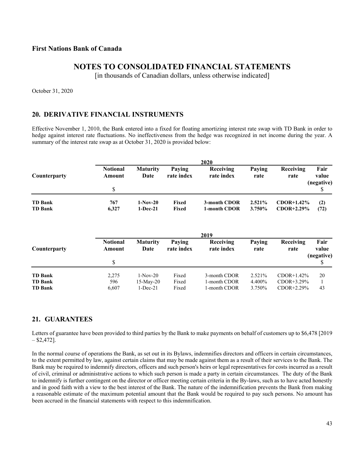[in thousands of Canadian dollars, unless otherwise indicated]

October 31, 2020

#### **20. DERIVATIVE FINANCIAL INSTRUMENTS**

Effective November 1, 2010, the Bank entered into a fixed for floating amortizing interest rate swap with TD Bank in order to hedge against interest rate fluctuations. No ineffectiveness from the hedge was recognized in net income during the year. A summary of the interest rate swap as at October 31, 2020 is provided below:

| Counterparty                     | 2020                      |                          |                      |                              |                     |                               |                             |
|----------------------------------|---------------------------|--------------------------|----------------------|------------------------------|---------------------|-------------------------------|-----------------------------|
|                                  | <b>Notional</b><br>Amount | <b>Maturity</b><br>Date  | Paving<br>rate index | Receiving<br>rate index      | Paying<br>rate      | <b>Receiving</b><br>rate      | Fair<br>value<br>(negative) |
|                                  | \$                        |                          |                      |                              |                     |                               |                             |
| <b>TD Bank</b><br><b>TD Bank</b> | 767<br>6,327              | $1-Nov-20$<br>$1-Dec-21$ | Fixed<br>Fixed       | 3-month CDOR<br>1-month CDOR | 2.521%<br>$3.750\%$ | $CDOR+1.42\%$<br>$CDOR+2.29%$ | (2)<br>(72)                 |

|                |                           |                         |                      | 2019                           |                |                   |                             |
|----------------|---------------------------|-------------------------|----------------------|--------------------------------|----------------|-------------------|-----------------------------|
| Counterparty   | <b>Notional</b><br>Amount | <b>Maturity</b><br>Date | Paving<br>rate index | <b>Receiving</b><br>rate index | Paying<br>rate | Receiving<br>rate | Fair<br>value<br>(negative) |
|                | S                         |                         |                      |                                |                |                   |                             |
| <b>TD Bank</b> | 2,275                     | 1-Nov-20                | Fixed                | 3-month CDOR                   | 2.521%         | $CDOR+1.42\%$     | 20                          |
| <b>TD Bank</b> | 596                       | $15-May-20$             | Fixed                | 1-month CDOR                   | 4.400%         | $CDOR+3.29%$      |                             |
| <b>TD Bank</b> | 6.607                     | $1-Dec-21$              | Fixed                | 1-month CDOR                   | 3.750%         | $CDOR+2.29%$      | 43                          |

#### **21. GUARANTEES**

Letters of guarantee have been provided to third parties by the Bank to make payments on behalf of customers up to \$6,478 [2019  $-$  \$2,472].

In the normal course of operations the Bank, as set out in its Bylaws, indemnifies directors and officers in certain circumstances, to the extent permitted by law, against certain claims that may be made against them as a result of their services to the Bank. The Bank may be required to indemnify directors, officers and such person's heirs or legal representatives for costs incurred as a result of civil, criminal or administrative actions to which such person is made a party in certain circumstances. The duty of the Bank to indemnify is further contingent on the director or officer meeting certain criteria in the By-laws, such as to have acted honestly and in good faith with a view to the best interest of the Bank. The nature of the indemnification prevents the Bank from making a reasonable estimate of the maximum potential amount that the Bank would be required to pay such persons. No amount has been accrued in the financial statements with respect to this indemnification.